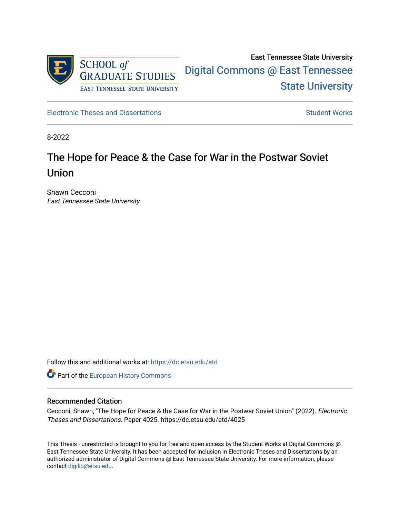

[Electronic Theses and Dissertations](https://dc.etsu.edu/etd) [Student Works](https://dc.etsu.edu/student-works) Student Works

8-2022

# The Hope for Peace & the Case for War in the Postwar Soviet Union

Shawn Cecconi East Tennessee State University

Follow this and additional works at: [https://dc.etsu.edu/etd](https://dc.etsu.edu/etd?utm_source=dc.etsu.edu%2Fetd%2F4025&utm_medium=PDF&utm_campaign=PDFCoverPages)

**Part of the [European History Commons](http://network.bepress.com/hgg/discipline/492?utm_source=dc.etsu.edu%2Fetd%2F4025&utm_medium=PDF&utm_campaign=PDFCoverPages)** 

#### Recommended Citation

Cecconi, Shawn, "The Hope for Peace & the Case for War in the Postwar Soviet Union" (2022). Electronic Theses and Dissertations. Paper 4025. https://dc.etsu.edu/etd/4025

This Thesis - unrestricted is brought to you for free and open access by the Student Works at Digital Commons @ East Tennessee State University. It has been accepted for inclusion in Electronic Theses and Dissertations by an authorized administrator of Digital Commons @ East Tennessee State University. For more information, please contact [digilib@etsu.edu](mailto:digilib@etsu.edu).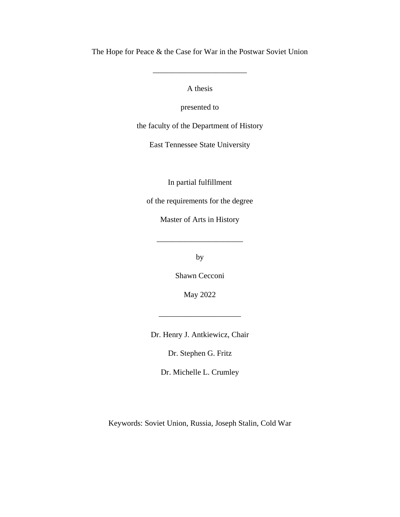The Hope for Peace & the Case for War in the Postwar Soviet Union

\_\_\_\_\_\_\_\_\_\_\_\_\_\_\_\_\_\_\_\_\_\_\_\_

A thesis

presented to

the faculty of the Department of History

East Tennessee State University

In partial fulfillment

of the requirements for the degree

Master of Arts in History

\_\_\_\_\_\_\_\_\_\_\_\_\_\_\_\_\_\_\_\_\_\_

by

Shawn Cecconi

May 2022

Dr. Henry J. Antkiewicz, Chair

\_\_\_\_\_\_\_\_\_\_\_\_\_\_\_\_\_\_\_\_\_

Dr. Stephen G. Fritz

Dr. Michelle L. Crumley

Keywords: Soviet Union, Russia, Joseph Stalin, Cold War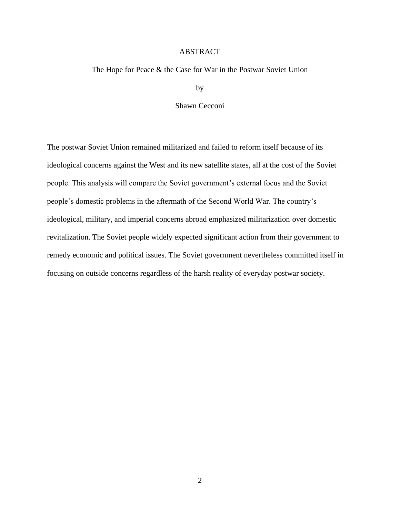### ABSTRACT

<span id="page-2-0"></span>The Hope for Peace & the Case for War in the Postwar Soviet Union

by

Shawn Cecconi

The postwar Soviet Union remained militarized and failed to reform itself because of its ideological concerns against the West and its new satellite states, all at the cost of the Soviet people. This analysis will compare the Soviet government's external focus and the Soviet people's domestic problems in the aftermath of the Second World War. The country's ideological, military, and imperial concerns abroad emphasized militarization over domestic revitalization. The Soviet people widely expected significant action from their government to remedy economic and political issues. The Soviet government nevertheless committed itself in focusing on outside concerns regardless of the harsh reality of everyday postwar society.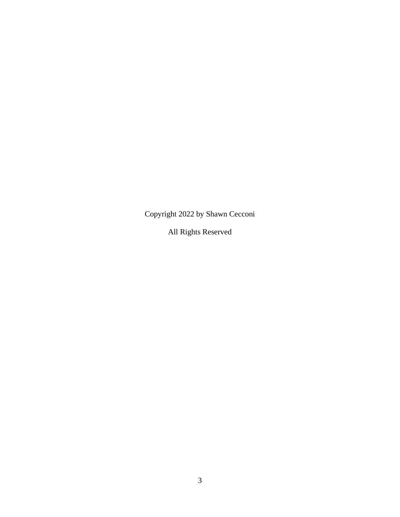Copyright 2022 by Shawn Cecconi

All Rights Reserved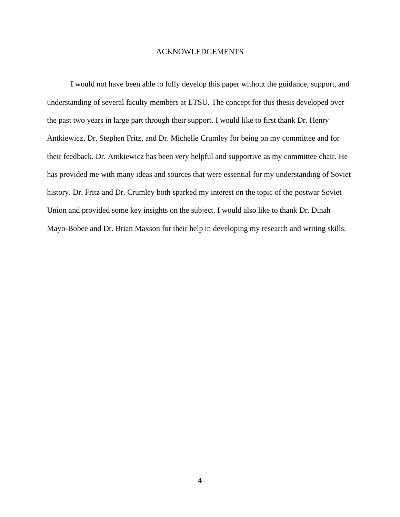#### ACKNOWLEDGEMENTS

<span id="page-4-0"></span>I would not have been able to fully develop this paper without the guidance, support, and understanding of several faculty members at ETSU. The concept for this thesis developed over the past two years in large part through their support. I would like to first thank Dr. Henry Antkiewicz, Dr. Stephen Fritz, and Dr. Michelle Crumley for being on my committee and for their feedback. Dr. Antkiewicz has been very helpful and supportive as my committee chair. He has provided me with many ideas and sources that were essential for my understanding of Soviet history. Dr. Fritz and Dr. Crumley both sparked my interest on the topic of the postwar Soviet Union and provided some key insights on the subject. I would also like to thank Dr. Dinah Mayo-Bobee and Dr. Brian Maxson for their help in developing my research and writing skills.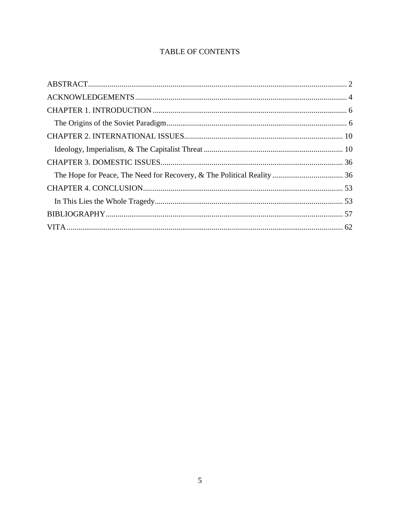# TABLE OF CONTENTS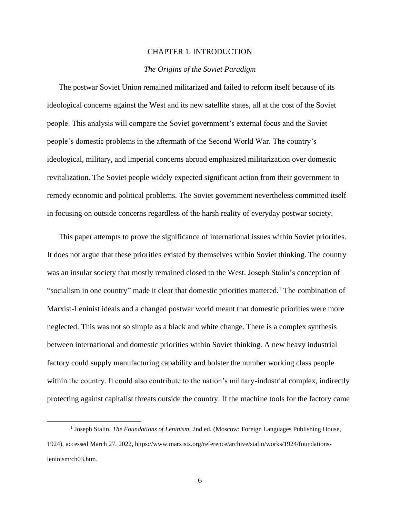#### CHAPTER 1. INTRODUCTION

### *The Origins of the Soviet Paradigm*

<span id="page-6-1"></span><span id="page-6-0"></span>The postwar Soviet Union remained militarized and failed to reform itself because of its ideological concerns against the West and its new satellite states, all at the cost of the Soviet people. This analysis will compare the Soviet government's external focus and the Soviet people's domestic problems in the aftermath of the Second World War. The country's ideological, military, and imperial concerns abroad emphasized militarization over domestic revitalization. The Soviet people widely expected significant action from their government to remedy economic and political problems. The Soviet government nevertheless committed itself in focusing on outside concerns regardless of the harsh reality of everyday postwar society.

This paper attempts to prove the significance of international issues within Soviet priorities. It does not argue that these priorities existed by themselves within Soviet thinking. The country was an insular society that mostly remained closed to the West. Joseph Stalin's conception of "socialism in one country" made it clear that domestic priorities mattered.<sup>1</sup> The combination of Marxist-Leninist ideals and a changed postwar world meant that domestic priorities were more neglected. This was not so simple as a black and white change. There is a complex synthesis between international and domestic priorities within Soviet thinking. A new heavy industrial factory could supply manufacturing capability and bolster the number working class people within the country. It could also contribute to the nation's military-industrial complex, indirectly protecting against capitalist threats outside the country. If the machine tools for the factory came

<sup>&</sup>lt;sup>1</sup> Joseph Stalin, *The Foundations of Leninism*, 2nd ed. (Moscow: Foreign Languages Publishing House, 1924), accessed March 27, 2022, https://www.marxists.org/reference/archive/stalin/works/1924/foundationsleninism/ch03.htm.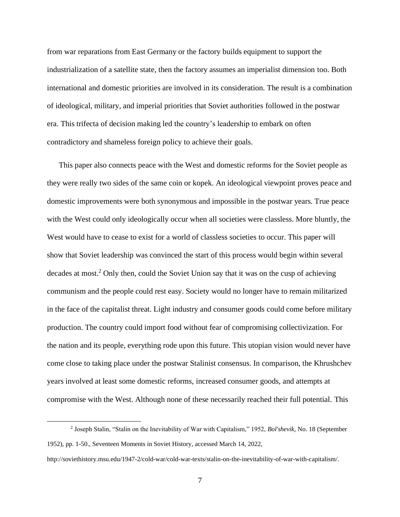from war reparations from East Germany or the factory builds equipment to support the industrialization of a satellite state, then the factory assumes an imperialist dimension too. Both international and domestic priorities are involved in its consideration. The result is a combination of ideological, military, and imperial priorities that Soviet authorities followed in the postwar era. This trifecta of decision making led the country's leadership to embark on often contradictory and shameless foreign policy to achieve their goals.

This paper also connects peace with the West and domestic reforms for the Soviet people as they were really two sides of the same coin or kopek. An ideological viewpoint proves peace and domestic improvements were both synonymous and impossible in the postwar years. True peace with the West could only ideologically occur when all societies were classless. More bluntly, the West would have to cease to exist for a world of classless societies to occur. This paper will show that Soviet leadership was convinced the start of this process would begin within several decades at most.<sup>2</sup> Only then, could the Soviet Union say that it was on the cusp of achieving communism and the people could rest easy. Society would no longer have to remain militarized in the face of the capitalist threat. Light industry and consumer goods could come before military production. The country could import food without fear of compromising collectivization. For the nation and its people, everything rode upon this future. This utopian vision would never have come close to taking place under the postwar Stalinist consensus. In comparison, the Khrushchev years involved at least some domestic reforms, increased consumer goods, and attempts at compromise with the West. Although none of these necessarily reached their full potential. This

<sup>2</sup> Joseph Stalin, "Stalin on the Inevitability of War with Capitalism," 1952, *Bol'shevik*, No. 18 (September 1952), pp. 1-50., Seventeen Moments in Soviet History, accessed March 14, 2022,

http://soviethistory.msu.edu/1947-2/cold-war/cold-war-texts/stalin-on-the-inevitability-of-war-with-capitalism/.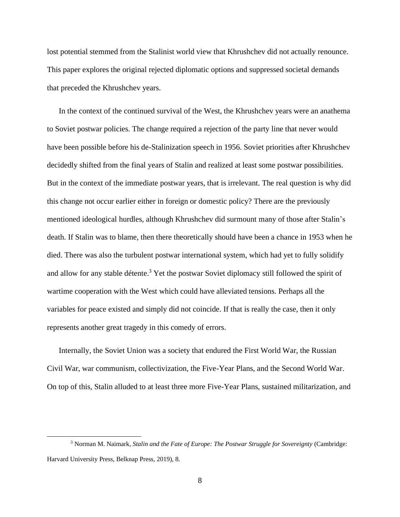lost potential stemmed from the Stalinist world view that Khrushchev did not actually renounce. This paper explores the original rejected diplomatic options and suppressed societal demands that preceded the Khrushchev years.

In the context of the continued survival of the West, the Khrushchev years were an anathema to Soviet postwar policies. The change required a rejection of the party line that never would have been possible before his de-Stalinization speech in 1956. Soviet priorities after Khrushchev decidedly shifted from the final years of Stalin and realized at least some postwar possibilities. But in the context of the immediate postwar years, that is irrelevant. The real question is why did this change not occur earlier either in foreign or domestic policy? There are the previously mentioned ideological hurdles, although Khrushchev did surmount many of those after Stalin's death. If Stalin was to blame, then there theoretically should have been a chance in 1953 when he died. There was also the turbulent postwar international system, which had yet to fully solidify and allow for any stable détente.<sup>3</sup> Yet the postwar Soviet diplomacy still followed the spirit of wartime cooperation with the West which could have alleviated tensions. Perhaps all the variables for peace existed and simply did not coincide. If that is really the case, then it only represents another great tragedy in this comedy of errors.

Internally, the Soviet Union was a society that endured the First World War, the Russian Civil War, war communism, collectivization, the Five-Year Plans, and the Second World War. On top of this, Stalin alluded to at least three more Five-Year Plans, sustained militarization, and

<sup>3</sup> Norman M. Naimark, *Stalin and the Fate of Europe: The Postwar Struggle for Sovereignty* (Cambridge: Harvard University Press, Belknap Press, 2019), 8.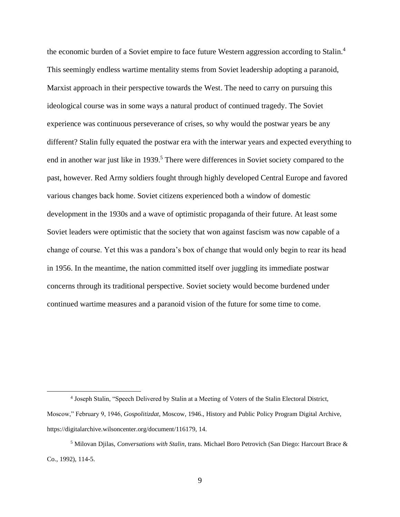the economic burden of a Soviet empire to face future Western aggression according to Stalin.<sup>4</sup> This seemingly endless wartime mentality stems from Soviet leadership adopting a paranoid, Marxist approach in their perspective towards the West. The need to carry on pursuing this ideological course was in some ways a natural product of continued tragedy. The Soviet experience was continuous perseverance of crises, so why would the postwar years be any different? Stalin fully equated the postwar era with the interwar years and expected everything to end in another war just like in 1939.<sup>5</sup> There were differences in Soviet society compared to the past, however. Red Army soldiers fought through highly developed Central Europe and favored various changes back home. Soviet citizens experienced both a window of domestic development in the 1930s and a wave of optimistic propaganda of their future. At least some Soviet leaders were optimistic that the society that won against fascism was now capable of a change of course. Yet this was a pandora's box of change that would only begin to rear its head in 1956. In the meantime, the nation committed itself over juggling its immediate postwar concerns through its traditional perspective. Soviet society would become burdened under continued wartime measures and a paranoid vision of the future for some time to come.

<sup>&</sup>lt;sup>4</sup> Joseph Stalin, "Speech Delivered by Stalin at a Meeting of Voters of the Stalin Electoral District,

Moscow," February 9, 1946, *Gospolitizdat*, Moscow, 1946., History and Public Policy Program Digital Archive, https://digitalarchive.wilsoncenter.org/document/116179, 14.

<sup>5</sup> Milovan Djilas, *Conversations with Stalin*, trans. Michael Boro Petrovich (San Diego: Harcourt Brace & Co., 1992), 114-5.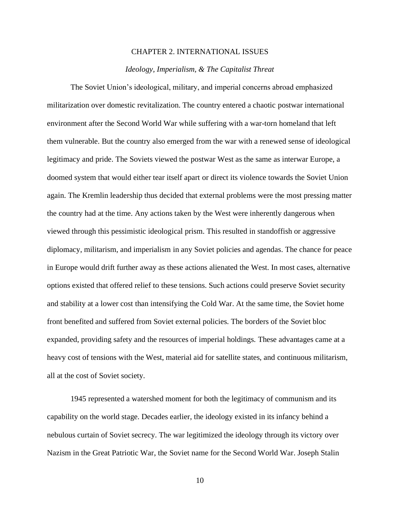#### CHAPTER 2. INTERNATIONAL ISSUES

#### *Ideology, Imperialism, & The Capitalist Threat*

<span id="page-10-1"></span><span id="page-10-0"></span>The Soviet Union's ideological, military, and imperial concerns abroad emphasized militarization over domestic revitalization. The country entered a chaotic postwar international environment after the Second World War while suffering with a war-torn homeland that left them vulnerable. But the country also emerged from the war with a renewed sense of ideological legitimacy and pride. The Soviets viewed the postwar West as the same as interwar Europe, a doomed system that would either tear itself apart or direct its violence towards the Soviet Union again. The Kremlin leadership thus decided that external problems were the most pressing matter the country had at the time. Any actions taken by the West were inherently dangerous when viewed through this pessimistic ideological prism. This resulted in standoffish or aggressive diplomacy, militarism, and imperialism in any Soviet policies and agendas. The chance for peace in Europe would drift further away as these actions alienated the West. In most cases, alternative options existed that offered relief to these tensions. Such actions could preserve Soviet security and stability at a lower cost than intensifying the Cold War. At the same time, the Soviet home front benefited and suffered from Soviet external policies. The borders of the Soviet bloc expanded, providing safety and the resources of imperial holdings. These advantages came at a heavy cost of tensions with the West, material aid for satellite states, and continuous militarism, all at the cost of Soviet society.

1945 represented a watershed moment for both the legitimacy of communism and its capability on the world stage. Decades earlier, the ideology existed in its infancy behind a nebulous curtain of Soviet secrecy. The war legitimized the ideology through its victory over Nazism in the Great Patriotic War, the Soviet name for the Second World War. Joseph Stalin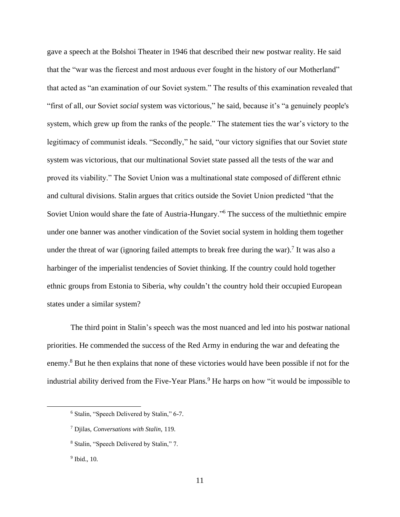gave a speech at the Bolshoi Theater in 1946 that described their new postwar reality. He said that the "war was the fiercest and most arduous ever fought in the history of our Motherland" that acted as "an examination of our Soviet system." The results of this examination revealed that "first of all, our Soviet *social* system was victorious," he said, because it's "a genuinely people's system, which grew up from the ranks of the people." The statement ties the war's victory to the legitimacy of communist ideals. "Secondly," he said, "our victory signifies that our Soviet *state* system was victorious, that our multinational Soviet state passed all the tests of the war and proved its viability." The Soviet Union was a multinational state composed of different ethnic and cultural divisions. Stalin argues that critics outside the Soviet Union predicted "that the Soviet Union would share the fate of Austria-Hungary."<sup>6</sup> The success of the multiethnic empire under one banner was another vindication of the Soviet social system in holding them together under the threat of war (ignoring failed attempts to break free during the war).<sup>7</sup> It was also a harbinger of the imperialist tendencies of Soviet thinking. If the country could hold together ethnic groups from Estonia to Siberia, why couldn't the country hold their occupied European states under a similar system?

The third point in Stalin's speech was the most nuanced and led into his postwar national priorities. He commended the success of the Red Army in enduring the war and defeating the enemy.<sup>8</sup> But he then explains that none of these victories would have been possible if not for the industrial ability derived from the Five-Year Plans.<sup>9</sup> He harps on how "it would be impossible to

<sup>6</sup> Stalin, "Speech Delivered by Stalin," 6-7.

<sup>7</sup> Djilas, *Conversations with Stalin*, 119.

<sup>8</sup> Stalin, "Speech Delivered by Stalin," 7.

<sup>9</sup> Ibid., 10.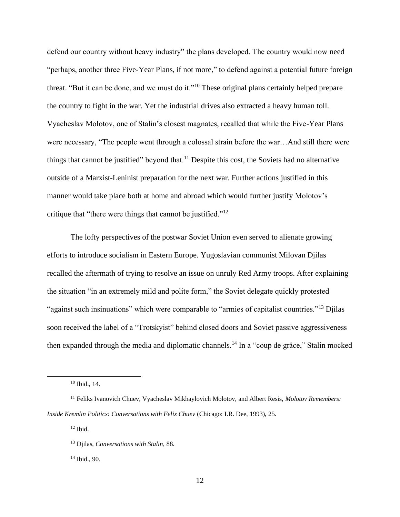defend our country without heavy industry" the plans developed. The country would now need "perhaps, another three Five-Year Plans, if not more," to defend against a potential future foreign threat. "But it can be done, and we must do it."<sup>10</sup> These original plans certainly helped prepare the country to fight in the war. Yet the industrial drives also extracted a heavy human toll. Vyacheslav Molotov, one of Stalin's closest magnates, recalled that while the Five-Year Plans were necessary, "The people went through a colossal strain before the war…And still there were things that cannot be justified" beyond that.<sup>11</sup> Despite this cost, the Soviets had no alternative outside of a Marxist-Leninist preparation for the next war. Further actions justified in this manner would take place both at home and abroad which would further justify Molotov's critique that "there were things that cannot be justified."<sup>12</sup>

The lofty perspectives of the postwar Soviet Union even served to alienate growing efforts to introduce socialism in Eastern Europe. Yugoslavian communist Milovan Djilas recalled the aftermath of trying to resolve an issue on unruly Red Army troops. After explaining the situation "in an extremely mild and polite form," the Soviet delegate quickly protested "against such insinuations" which were comparable to "armies of capitalist countries."<sup>13</sup> Djilas soon received the label of a "Trotskyist" behind closed doors and Soviet passive aggressiveness then expanded through the media and diplomatic channels.<sup>14</sup> In a "coup de grâce," Stalin mocked

 $12$  Ibid.

<sup>14</sup> Ibid., 90.

<sup>10</sup> Ibid., 14.

<sup>11</sup> Feliks Ivanovich Chuev, Vyacheslav Mikhaylovich Molotov, and Albert Resis, *Molotov Remembers: Inside Kremlin Politics: Conversations with Felix Chuev* (Chicago: I.R. Dee, 1993), 25.

<sup>13</sup> Djilas, *Conversations with Stalin*, 88.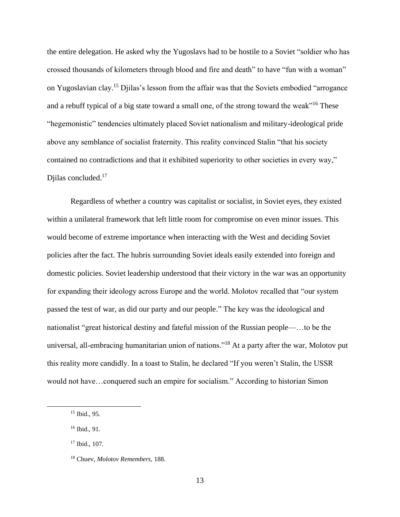the entire delegation. He asked why the Yugoslavs had to be hostile to a Soviet "soldier who has crossed thousands of kilometers through blood and fire and death" to have "fun with a woman" on Yugoslavian clay.<sup>15</sup> Djilas's lesson from the affair was that the Soviets embodied "arrogance and a rebuff typical of a big state toward a small one, of the strong toward the weak<sup>"16</sup> These "hegemonistic" tendencies ultimately placed Soviet nationalism and military-ideological pride above any semblance of socialist fraternity. This reality convinced Stalin "that his society contained no contradictions and that it exhibited superiority to other societies in every way," Djilas concluded.<sup>17</sup>

Regardless of whether a country was capitalist or socialist, in Soviet eyes, they existed within a unilateral framework that left little room for compromise on even minor issues. This would become of extreme importance when interacting with the West and deciding Soviet policies after the fact. The hubris surrounding Soviet ideals easily extended into foreign and domestic policies. Soviet leadership understood that their victory in the war was an opportunity for expanding their ideology across Europe and the world. Molotov recalled that "our system passed the test of war, as did our party and our people." The key was the ideological and nationalist "great historical destiny and fateful mission of the Russian people—…to be the universal, all-embracing humanitarian union of nations."<sup>18</sup> At a party after the war, Molotov put this reality more candidly. In a toast to Stalin, he declared "If you weren't Stalin, the USSR would not have…conquered such an empire for socialism." According to historian Simon

<sup>15</sup> Ibid., 95.

<sup>16</sup> Ibid., 91.

<sup>17</sup> Ibid., 107.

<sup>18</sup> Chuev, *Molotov Remembers*, 188.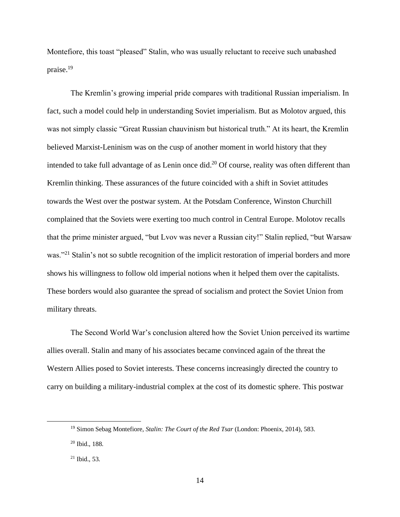Montefiore, this toast "pleased" Stalin, who was usually reluctant to receive such unabashed praise.<sup>19</sup>

The Kremlin's growing imperial pride compares with traditional Russian imperialism. In fact, such a model could help in understanding Soviet imperialism. But as Molotov argued, this was not simply classic "Great Russian chauvinism but historical truth." At its heart, the Kremlin believed Marxist-Leninism was on the cusp of another moment in world history that they intended to take full advantage of as Lenin once did.<sup>20</sup> Of course, reality was often different than Kremlin thinking. These assurances of the future coincided with a shift in Soviet attitudes towards the West over the postwar system. At the Potsdam Conference, Winston Churchill complained that the Soviets were exerting too much control in Central Europe. Molotov recalls that the prime minister argued, "but Lvov was never a Russian city!" Stalin replied, "but Warsaw was."<sup>21</sup> Stalin's not so subtle recognition of the implicit restoration of imperial borders and more shows his willingness to follow old imperial notions when it helped them over the capitalists. These borders would also guarantee the spread of socialism and protect the Soviet Union from military threats.

The Second World War's conclusion altered how the Soviet Union perceived its wartime allies overall. Stalin and many of his associates became convinced again of the threat the Western Allies posed to Soviet interests. These concerns increasingly directed the country to carry on building a military-industrial complex at the cost of its domestic sphere. This postwar

<sup>19</sup> Simon Sebag Montefiore, *Stalin: The Court of the Red Tsar* (London: Phoenix, 2014), 583.

<sup>20</sup> Ibid., 188.

 $21$  Ibid., 53.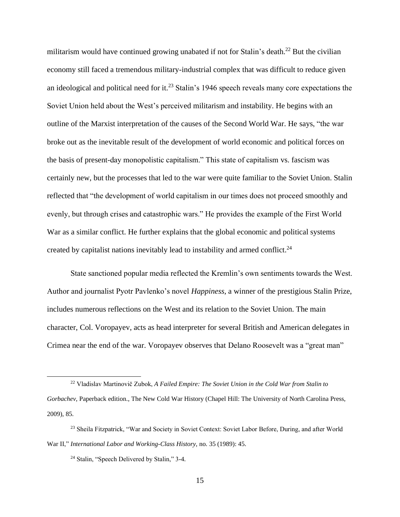militarism would have continued growing unabated if not for Stalin's death.<sup>22</sup> But the civilian economy still faced a tremendous military-industrial complex that was difficult to reduce given an ideological and political need for it.<sup>23</sup> Stalin's 1946 speech reveals many core expectations the Soviet Union held about the West's perceived militarism and instability. He begins with an outline of the Marxist interpretation of the causes of the Second World War. He says, "the war broke out as the inevitable result of the development of world economic and political forces on the basis of present-day monopolistic capitalism." This state of capitalism vs. fascism was certainly new, but the processes that led to the war were quite familiar to the Soviet Union. Stalin reflected that "the development of world capitalism in our times does not proceed smoothly and evenly, but through crises and catastrophic wars." He provides the example of the First World War as a similar conflict. He further explains that the global economic and political systems created by capitalist nations inevitably lead to instability and armed conflict.<sup>24</sup>

State sanctioned popular media reflected the Kremlin's own sentiments towards the West. Author and journalist Pyotr Pavlenko's novel *Happiness*, a winner of the prestigious Stalin Prize, includes numerous reflections on the West and its relation to the Soviet Union. The main character, Col. Voropayev, acts as head interpreter for several British and American delegates in Crimea near the end of the war. Voropayev observes that Delano Roosevelt was a "great man"

<sup>22</sup> Vladislav Martinovič Zubok, *A Failed Empire: The Soviet Union in the Cold War from Stalin to Gorbachev*, Paperback edition., The New Cold War History (Chapel Hill: The University of North Carolina Press, 2009), 85.

<sup>&</sup>lt;sup>23</sup> Sheila Fitzpatrick, "War and Society in Soviet Context: Soviet Labor Before, During, and after World War II," *International Labor and Working-Class History*, no. 35 (1989): 45.

<sup>24</sup> Stalin, "Speech Delivered by Stalin," 3-4.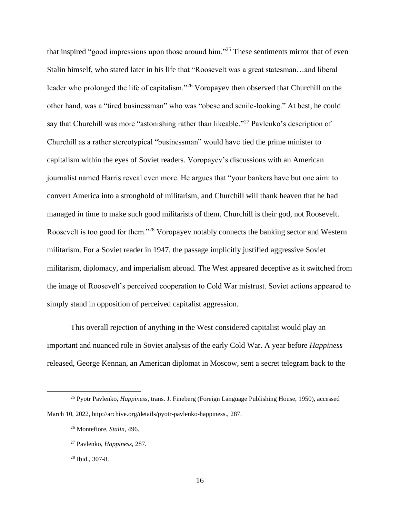that inspired "good impressions upon those around him."<sup>25</sup> These sentiments mirror that of even Stalin himself, who stated later in his life that "Roosevelt was a great statesman…and liberal leader who prolonged the life of capitalism."<sup>26</sup> Voropayev then observed that Churchill on the other hand, was a "tired businessman" who was "obese and senile-looking." At best, he could say that Churchill was more "astonishing rather than likeable."<sup>27</sup> Pavlenko's description of Churchill as a rather stereotypical "businessman" would have tied the prime minister to capitalism within the eyes of Soviet readers. Voropayev's discussions with an American journalist named Harris reveal even more. He argues that "your bankers have but one aim: to convert America into a stronghold of militarism, and Churchill will thank heaven that he had managed in time to make such good militarists of them. Churchill is their god, not Roosevelt. Roosevelt is too good for them."<sup>28</sup> Voropayev notably connects the banking sector and Western militarism. For a Soviet reader in 1947, the passage implicitly justified aggressive Soviet militarism, diplomacy, and imperialism abroad. The West appeared deceptive as it switched from the image of Roosevelt's perceived cooperation to Cold War mistrust. Soviet actions appeared to simply stand in opposition of perceived capitalist aggression.

This overall rejection of anything in the West considered capitalist would play an important and nuanced role in Soviet analysis of the early Cold War. A year before *Happiness* released, George Kennan, an American diplomat in Moscow, sent a secret telegram back to the

<sup>25</sup> Pyotr Pavlenko, *Happiness*, trans. J. Fineberg (Foreign Language Publishing House, 1950), accessed March 10, 2022, http://archive.org/details/pyotr-pavlenko-happiness., 287.

<sup>26</sup> Montefiore, *Stalin*, 496.

<sup>27</sup> Pavlenko, *Happiness*, 287.

<sup>28</sup> Ibid., 307-8.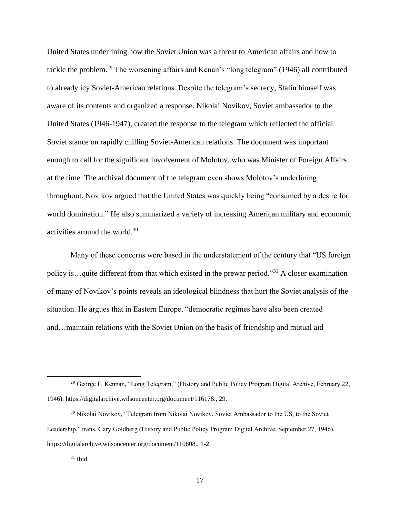United States underlining how the Soviet Union was a threat to American affairs and how to tackle the problem.<sup>29</sup> The worsening affairs and Kenan's "long telegram" (1946) all contributed to already icy Soviet-American relations. Despite the telegram's secrecy, Stalin himself was aware of its contents and organized a response. Nikolai Novikov, Soviet ambassador to the United States (1946-1947), created the response to the telegram which reflected the official Soviet stance on rapidly chilling Soviet-American relations. The document was important enough to call for the significant involvement of Molotov, who was Minister of Foreign Affairs at the time. The archival document of the telegram even shows Molotov's underlining throughout. Novikov argued that the United States was quickly being "consumed by a desire for world domination." He also summarized a variety of increasing American military and economic activities around the world.<sup>30</sup>

Many of these concerns were based in the understatement of the century that "US foreign policy is...quite different from that which existed in the prewar period."<sup>31</sup> A closer examination of many of Novikov's points reveals an ideological blindness that hurt the Soviet analysis of the situation. He argues that in Eastern Europe, "democratic regimes have also been created and…maintain relations with the Soviet Union on the basis of friendship and mutual aid

<sup>&</sup>lt;sup>29</sup> George F. Kennan, "Long Telegram," (History and Public Policy Program Digital Archive, February 22, 1946), https://digitalarchive.wilsoncenter.org/document/116178., 29.

<sup>&</sup>lt;sup>30</sup> Nikolai Novikov, "Telegram from Nikolai Novikov, Soviet Ambassador to the US, to the Soviet Leadership," trans. Gary Goldberg (History and Public Policy Program Digital Archive, September 27, 1946), https://digitalarchive.wilsoncenter.org/document/110808., 1-2.

 $31$  Ibid.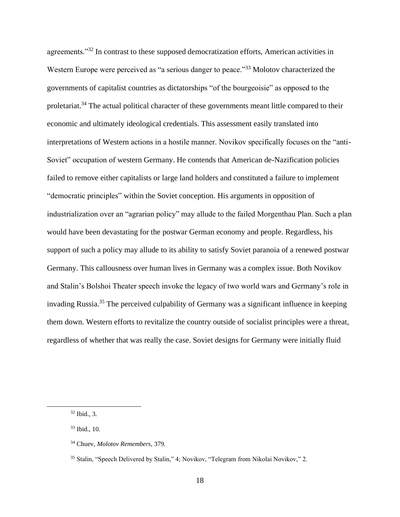agreements."<sup>32</sup> In contrast to these supposed democratization efforts, American activities in Western Europe were perceived as "a serious danger to peace."<sup>33</sup> Molotov characterized the governments of capitalist countries as dictatorships "of the bourgeoisie" as opposed to the proletariat.<sup>34</sup> The actual political character of these governments meant little compared to their economic and ultimately ideological credentials. This assessment easily translated into interpretations of Western actions in a hostile manner. Novikov specifically focuses on the "anti-Soviet" occupation of western Germany. He contends that American de-Nazification policies failed to remove either capitalists or large land holders and constituted a failure to implement "democratic principles" within the Soviet conception. His arguments in opposition of industrialization over an "agrarian policy" may allude to the failed Morgenthau Plan. Such a plan would have been devastating for the postwar German economy and people. Regardless, his support of such a policy may allude to its ability to satisfy Soviet paranoia of a renewed postwar Germany. This callousness over human lives in Germany was a complex issue. Both Novikov and Stalin's Bolshoi Theater speech invoke the legacy of two world wars and Germany's role in invading Russia. <sup>35</sup> The perceived culpability of Germany was a significant influence in keeping them down. Western efforts to revitalize the country outside of socialist principles were a threat, regardless of whether that was really the case. Soviet designs for Germany were initially fluid

<sup>32</sup> Ibid., 3.

<sup>33</sup> Ibid., 10.

<sup>34</sup> Chuev, *Molotov Remembers*, 379.

<sup>35</sup> Stalin, "Speech Delivered by Stalin," 4; Novikov, "Telegram from Nikolai Novikov," 2.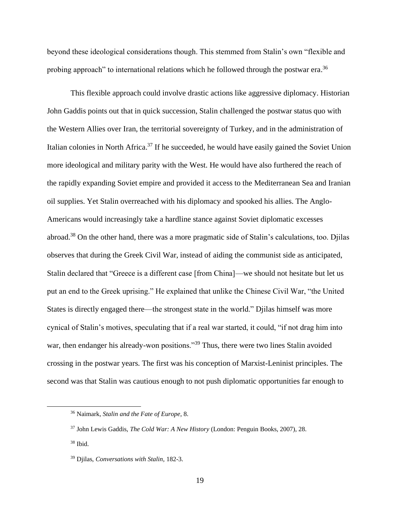beyond these ideological considerations though. This stemmed from Stalin's own "flexible and probing approach" to international relations which he followed through the postwar era.<sup>36</sup>

This flexible approach could involve drastic actions like aggressive diplomacy. Historian John Gaddis points out that in quick succession, Stalin challenged the postwar status quo with the Western Allies over Iran, the territorial sovereignty of Turkey, and in the administration of Italian colonies in North Africa.<sup>37</sup> If he succeeded, he would have easily gained the Soviet Union more ideological and military parity with the West. He would have also furthered the reach of the rapidly expanding Soviet empire and provided it access to the Mediterranean Sea and Iranian oil supplies. Yet Stalin overreached with his diplomacy and spooked his allies. The Anglo-Americans would increasingly take a hardline stance against Soviet diplomatic excesses abroad.<sup>38</sup> On the other hand, there was a more pragmatic side of Stalin's calculations, too. Djilas observes that during the Greek Civil War, instead of aiding the communist side as anticipated, Stalin declared that "Greece is a different case [from China]—we should not hesitate but let us put an end to the Greek uprising." He explained that unlike the Chinese Civil War, "the United States is directly engaged there—the strongest state in the world." Djilas himself was more cynical of Stalin's motives, speculating that if a real war started, it could, "if not drag him into war, then endanger his already-won positions."<sup>39</sup> Thus, there were two lines Stalin avoided crossing in the postwar years. The first was his conception of Marxist-Leninist principles. The second was that Stalin was cautious enough to not push diplomatic opportunities far enough to

<sup>36</sup> Naimark, *Stalin and the Fate of Europe*, 8.

<sup>37</sup> John Lewis Gaddis, *The Cold War: A New History* (London: Penguin Books, 2007), 28.

 $38$  Ibid.

<sup>39</sup> Djilas, *Conversations with Stalin*, 182-3.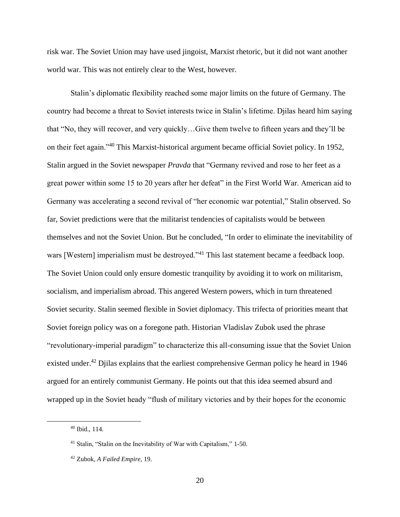risk war. The Soviet Union may have used jingoist, Marxist rhetoric, but it did not want another world war. This was not entirely clear to the West, however.

Stalin's diplomatic flexibility reached some major limits on the future of Germany. The country had become a threat to Soviet interests twice in Stalin's lifetime. Djilas heard him saying that "No, they will recover, and very quickly…Give them twelve to fifteen years and they'll be on their feet again."<sup>40</sup> This Marxist-historical argument became official Soviet policy. In 1952, Stalin argued in the Soviet newspaper *Pravda* that "Germany revived and rose to her feet as a great power within some 15 to 20 years after her defeat" in the First World War. American aid to Germany was accelerating a second revival of "her economic war potential," Stalin observed. So far, Soviet predictions were that the militarist tendencies of capitalists would be between themselves and not the Soviet Union. But he concluded, "In order to eliminate the inevitability of wars [Western] imperialism must be destroyed."<sup>41</sup> This last statement became a feedback loop. The Soviet Union could only ensure domestic tranquility by avoiding it to work on militarism, socialism, and imperialism abroad. This angered Western powers, which in turn threatened Soviet security. Stalin seemed flexible in Soviet diplomacy. This trifecta of priorities meant that Soviet foreign policy was on a foregone path. Historian Vladislav Zubok used the phrase "revolutionary-imperial paradigm" to characterize this all-consuming issue that the Soviet Union existed under.<sup>42</sup> Djilas explains that the earliest comprehensive German policy he heard in 1946 argued for an entirely communist Germany. He points out that this idea seemed absurd and wrapped up in the Soviet heady "flush of military victories and by their hopes for the economic

<sup>40</sup> Ibid., 114.

<sup>41</sup> Stalin, "Stalin on the Inevitability of War with Capitalism," 1-50.

<sup>42</sup> Zubok, *A Failed Empire*, 19.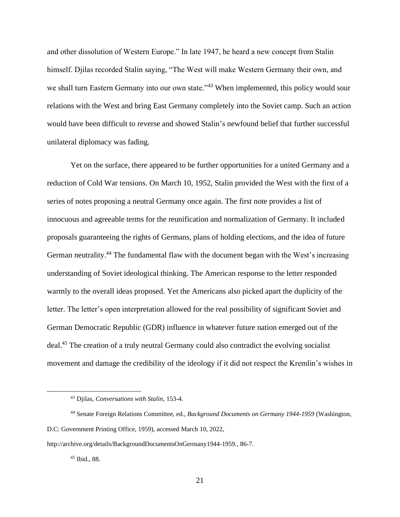and other dissolution of Western Europe." In late 1947, he heard a new concept from Stalin himself. Djilas recorded Stalin saying, "The West will make Western Germany their own, and we shall turn Eastern Germany into our own state."<sup>43</sup> When implemented, this policy would sour relations with the West and bring East Germany completely into the Soviet camp. Such an action would have been difficult to reverse and showed Stalin's newfound belief that further successful unilateral diplomacy was fading.

Yet on the surface, there appeared to be further opportunities for a united Germany and a reduction of Cold War tensions. On March 10, 1952, Stalin provided the West with the first of a series of notes proposing a neutral Germany once again. The first note provides a list of innocuous and agreeable terms for the reunification and normalization of Germany. It included proposals guaranteeing the rights of Germans, plans of holding elections, and the idea of future German neutrality.<sup>44</sup> The fundamental flaw with the document began with the West's increasing understanding of Soviet ideological thinking. The American response to the letter responded warmly to the overall ideas proposed. Yet the Americans also picked apart the duplicity of the letter. The letter's open interpretation allowed for the real possibility of significant Soviet and German Democratic Republic (GDR) influence in whatever future nation emerged out of the deal.<sup>45</sup> The creation of a truly neutral Germany could also contradict the evolving socialist movement and damage the credibility of the ideology if it did not respect the Kremlin's wishes in

<sup>45</sup> Ibid., 88.

<sup>43</sup> Djilas, *Conversations with Stalin*, 153-4.

<sup>44</sup> Senate Foreign Relations Committee, ed., *Background Documents on Germany 1944-1959* (Washington, D.C: Government Printing Office, 1959), accessed March 10, 2022,

http://archive.org/details/BackgroundDocumentsOnGermany1944-1959., 86-7.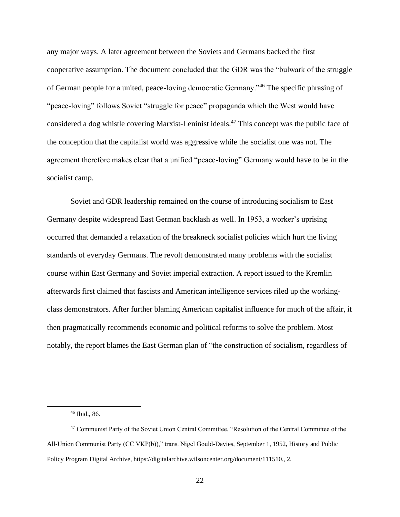any major ways. A later agreement between the Soviets and Germans backed the first cooperative assumption. The document concluded that the GDR was the "bulwark of the struggle of German people for a united, peace-loving democratic Germany."<sup>46</sup> The specific phrasing of "peace-loving" follows Soviet "struggle for peace" propaganda which the West would have considered a dog whistle covering Marxist-Leninist ideals. <sup>47</sup> This concept was the public face of the conception that the capitalist world was aggressive while the socialist one was not. The agreement therefore makes clear that a unified "peace-loving" Germany would have to be in the socialist camp.

Soviet and GDR leadership remained on the course of introducing socialism to East Germany despite widespread East German backlash as well. In 1953, a worker's uprising occurred that demanded a relaxation of the breakneck socialist policies which hurt the living standards of everyday Germans. The revolt demonstrated many problems with the socialist course within East Germany and Soviet imperial extraction. A report issued to the Kremlin afterwards first claimed that fascists and American intelligence services riled up the workingclass demonstrators. After further blaming American capitalist influence for much of the affair, it then pragmatically recommends economic and political reforms to solve the problem. Most notably, the report blames the East German plan of "the construction of socialism, regardless of

<sup>46</sup> Ibid., 86.

<sup>47</sup> Communist Party of the Soviet Union Central Committee, "Resolution of the Central Committee of the All-Union Communist Party (CC VKP(b))," trans. Nigel Gould-Davies, September 1, 1952, History and Public Policy Program Digital Archive, https://digitalarchive.wilsoncenter.org/document/111510., 2.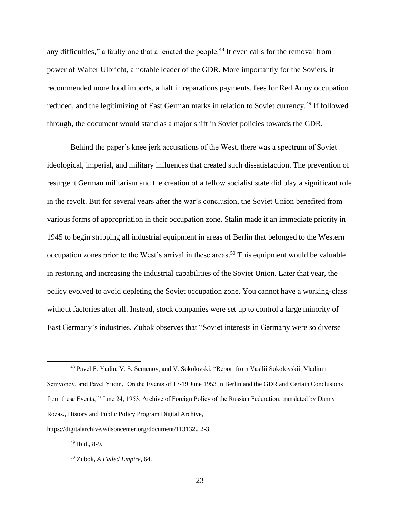any difficulties," a faulty one that alienated the people.<sup>48</sup> It even calls for the removal from power of Walter Ulbricht, a notable leader of the GDR. More importantly for the Soviets, it recommended more food imports, a halt in reparations payments, fees for Red Army occupation reduced, and the legitimizing of East German marks in relation to Soviet currency.<sup>49</sup> If followed through, the document would stand as a major shift in Soviet policies towards the GDR.

Behind the paper's knee jerk accusations of the West, there was a spectrum of Soviet ideological, imperial, and military influences that created such dissatisfaction. The prevention of resurgent German militarism and the creation of a fellow socialist state did play a significant role in the revolt. But for several years after the war's conclusion, the Soviet Union benefited from various forms of appropriation in their occupation zone. Stalin made it an immediate priority in 1945 to begin stripping all industrial equipment in areas of Berlin that belonged to the Western occupation zones prior to the West's arrival in these areas. <sup>50</sup> This equipment would be valuable in restoring and increasing the industrial capabilities of the Soviet Union. Later that year, the policy evolved to avoid depleting the Soviet occupation zone. You cannot have a working-class without factories after all. Instead, stock companies were set up to control a large minority of East Germany's industries. Zubok observes that "Soviet interests in Germany were so diverse

<sup>49</sup> Ibid., 8-9.

<sup>48</sup> Pavel F. Yudin, V. S. Semenov, and V. Sokolovski, "Report from Vasilii Sokolovskii, Vladimir Semyonov, and Pavel Yudin, 'On the Events of 17-19 June 1953 in Berlin and the GDR and Certain Conclusions from these Events,'" June 24, 1953, Archive of Foreign Policy of the Russian Federation; translated by Danny Rozas., History and Public Policy Program Digital Archive,

https://digitalarchive.wilsoncenter.org/document/113132., 2-3.

<sup>50</sup> Zubok, *A Failed Empire*, 64.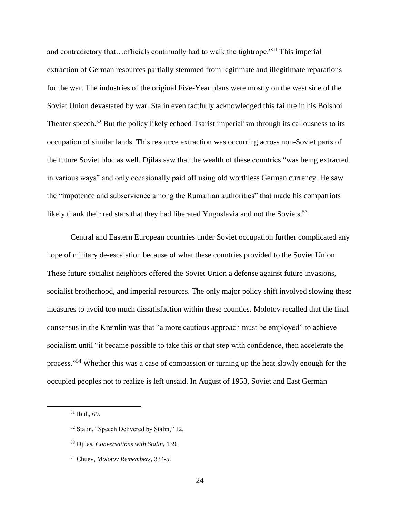and contradictory that…officials continually had to walk the tightrope."<sup>51</sup> This imperial extraction of German resources partially stemmed from legitimate and illegitimate reparations for the war. The industries of the original Five-Year plans were mostly on the west side of the Soviet Union devastated by war. Stalin even tactfully acknowledged this failure in his Bolshoi Theater speech.<sup>52</sup> But the policy likely echoed Tsarist imperialism through its callousness to its occupation of similar lands. This resource extraction was occurring across non-Soviet parts of the future Soviet bloc as well. Djilas saw that the wealth of these countries "was being extracted in various ways" and only occasionally paid off using old worthless German currency. He saw the "impotence and subservience among the Rumanian authorities" that made his compatriots likely thank their red stars that they had liberated Yugoslavia and not the Soviets.<sup>53</sup>

Central and Eastern European countries under Soviet occupation further complicated any hope of military de-escalation because of what these countries provided to the Soviet Union. These future socialist neighbors offered the Soviet Union a defense against future invasions, socialist brotherhood, and imperial resources. The only major policy shift involved slowing these measures to avoid too much dissatisfaction within these counties. Molotov recalled that the final consensus in the Kremlin was that "a more cautious approach must be employed" to achieve socialism until "it became possible to take this or that step with confidence, then accelerate the process."<sup>54</sup> Whether this was a case of compassion or turning up the heat slowly enough for the occupied peoples not to realize is left unsaid. In August of 1953, Soviet and East German

<sup>51</sup> Ibid., 69.

<sup>52</sup> Stalin, "Speech Delivered by Stalin," 12.

<sup>53</sup> Djilas, *Conversations with Stalin*, 139.

<sup>54</sup> Chuev, *Molotov Remembers*, 334-5.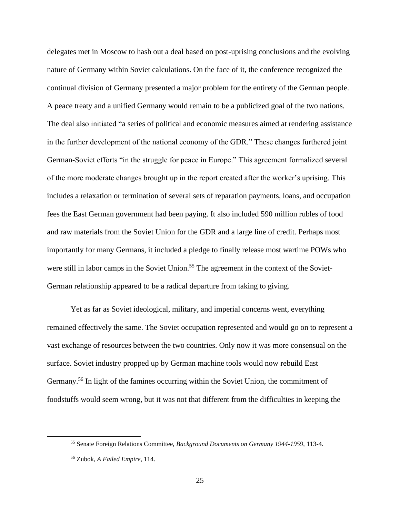delegates met in Moscow to hash out a deal based on post-uprising conclusions and the evolving nature of Germany within Soviet calculations. On the face of it, the conference recognized the continual division of Germany presented a major problem for the entirety of the German people. A peace treaty and a unified Germany would remain to be a publicized goal of the two nations. The deal also initiated "a series of political and economic measures aimed at rendering assistance in the further development of the national economy of the GDR." These changes furthered joint German-Soviet efforts "in the struggle for peace in Europe." This agreement formalized several of the more moderate changes brought up in the report created after the worker's uprising. This includes a relaxation or termination of several sets of reparation payments, loans, and occupation fees the East German government had been paying. It also included 590 million rubles of food and raw materials from the Soviet Union for the GDR and a large line of credit. Perhaps most importantly for many Germans, it included a pledge to finally release most wartime POWs who were still in labor camps in the Soviet Union.<sup>55</sup> The agreement in the context of the Soviet-German relationship appeared to be a radical departure from taking to giving.

Yet as far as Soviet ideological, military, and imperial concerns went, everything remained effectively the same. The Soviet occupation represented and would go on to represent a vast exchange of resources between the two countries. Only now it was more consensual on the surface. Soviet industry propped up by German machine tools would now rebuild East Germany.<sup>56</sup> In light of the famines occurring within the Soviet Union, the commitment of foodstuffs would seem wrong, but it was not that different from the difficulties in keeping the

<sup>55</sup> Senate Foreign Relations Committee, *Background Documents on Germany 1944-1959*, 113-4.

<sup>56</sup> Zubok, *A Failed Empire*, 114.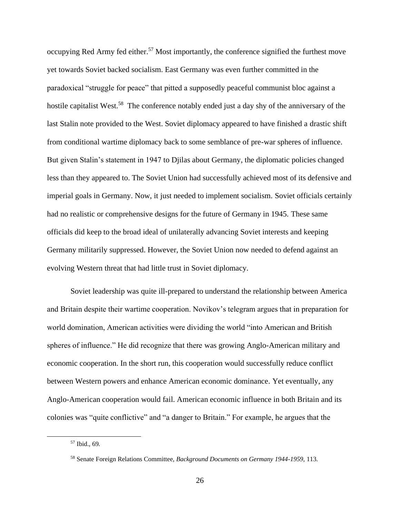occupying Red Army fed either.<sup>57</sup> Most importantly, the conference signified the furthest move yet towards Soviet backed socialism. East Germany was even further committed in the paradoxical "struggle for peace" that pitted a supposedly peaceful communist bloc against a hostile capitalist West.<sup>58</sup> The conference notably ended just a day shy of the anniversary of the last Stalin note provided to the West. Soviet diplomacy appeared to have finished a drastic shift from conditional wartime diplomacy back to some semblance of pre-war spheres of influence. But given Stalin's statement in 1947 to Djilas about Germany, the diplomatic policies changed less than they appeared to. The Soviet Union had successfully achieved most of its defensive and imperial goals in Germany. Now, it just needed to implement socialism. Soviet officials certainly had no realistic or comprehensive designs for the future of Germany in 1945. These same officials did keep to the broad ideal of unilaterally advancing Soviet interests and keeping Germany militarily suppressed. However, the Soviet Union now needed to defend against an evolving Western threat that had little trust in Soviet diplomacy.

Soviet leadership was quite ill-prepared to understand the relationship between America and Britain despite their wartime cooperation. Novikov's telegram argues that in preparation for world domination, American activities were dividing the world "into American and British spheres of influence." He did recognize that there was growing Anglo-American military and economic cooperation. In the short run, this cooperation would successfully reduce conflict between Western powers and enhance American economic dominance. Yet eventually, any Anglo-American cooperation would fail. American economic influence in both Britain and its colonies was "quite conflictive" and "a danger to Britain." For example, he argues that the

<sup>57</sup> Ibid., 69.

<sup>58</sup> Senate Foreign Relations Committee, *Background Documents on Germany 1944-1959*, 113.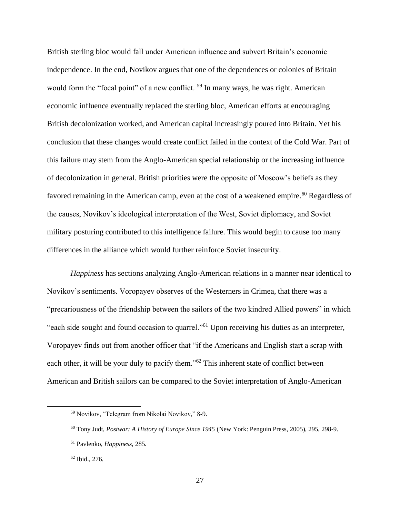British sterling bloc would fall under American influence and subvert Britain's economic independence. In the end, Novikov argues that one of the dependences or colonies of Britain would form the "focal point" of a new conflict. <sup>59</sup> In many ways, he was right. American economic influence eventually replaced the sterling bloc, American efforts at encouraging British decolonization worked, and American capital increasingly poured into Britain. Yet his conclusion that these changes would create conflict failed in the context of the Cold War. Part of this failure may stem from the Anglo-American special relationship or the increasing influence of decolonization in general. British priorities were the opposite of Moscow's beliefs as they favored remaining in the American camp, even at the cost of a weakened empire.<sup>60</sup> Regardless of the causes, Novikov's ideological interpretation of the West, Soviet diplomacy, and Soviet military posturing contributed to this intelligence failure. This would begin to cause too many differences in the alliance which would further reinforce Soviet insecurity.

*Happiness* has sections analyzing Anglo-American relations in a manner near identical to Novikov's sentiments. Voropayev observes of the Westerners in Crimea, that there was a "precariousness of the friendship between the sailors of the two kindred Allied powers" in which "each side sought and found occasion to quarrel."<sup>61</sup> Upon receiving his duties as an interpreter, Voropayev finds out from another officer that "if the Americans and English start a scrap with each other, it will be your duly to pacify them."<sup>62</sup> This inherent state of conflict between American and British sailors can be compared to the Soviet interpretation of Anglo-American

<sup>59</sup> Novikov, "Telegram from Nikolai Novikov," 8-9.

<sup>60</sup> Tony Judt, *Postwar: A History of Europe Since 1945* (New York: Penguin Press, 2005), 295, 298-9.

<sup>61</sup> Pavlenko, *Happiness*, 285.

<sup>62</sup> Ibid., 276.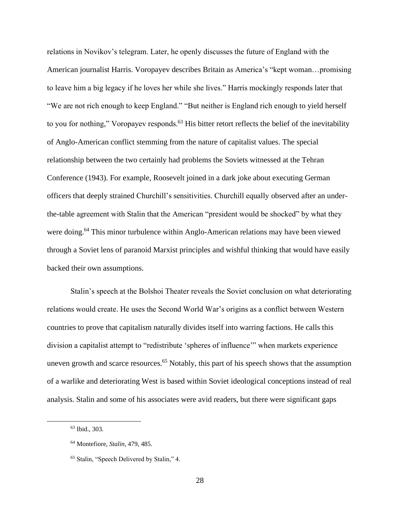relations in Novikov's telegram. Later, he openly discusses the future of England with the American journalist Harris. Voropayev describes Britain as America's "kept woman…promising to leave him a big legacy if he loves her while she lives." Harris mockingly responds later that "We are not rich enough to keep England." "But neither is England rich enough to yield herself to you for nothing," Voropayev responds.<sup>63</sup> His bitter retort reflects the belief of the inevitability of Anglo-American conflict stemming from the nature of capitalist values. The special relationship between the two certainly had problems the Soviets witnessed at the Tehran Conference (1943). For example, Roosevelt joined in a dark joke about executing German officers that deeply strained Churchill's sensitivities. Churchill equally observed after an underthe-table agreement with Stalin that the American "president would be shocked" by what they were doing.<sup>64</sup> This minor turbulence within Anglo-American relations may have been viewed through a Soviet lens of paranoid Marxist principles and wishful thinking that would have easily backed their own assumptions.

Stalin's speech at the Bolshoi Theater reveals the Soviet conclusion on what deteriorating relations would create. He uses the Second World War's origins as a conflict between Western countries to prove that capitalism naturally divides itself into warring factions. He calls this division a capitalist attempt to "redistribute 'spheres of influence'" when markets experience uneven growth and scarce resources.<sup>65</sup> Notably, this part of his speech shows that the assumption of a warlike and deteriorating West is based within Soviet ideological conceptions instead of real analysis. Stalin and some of his associates were avid readers, but there were significant gaps

<sup>63</sup> Ibid., 303.

<sup>64</sup> Montefiore, *Stalin*, 479, 485.

<sup>65</sup> Stalin, "Speech Delivered by Stalin," 4.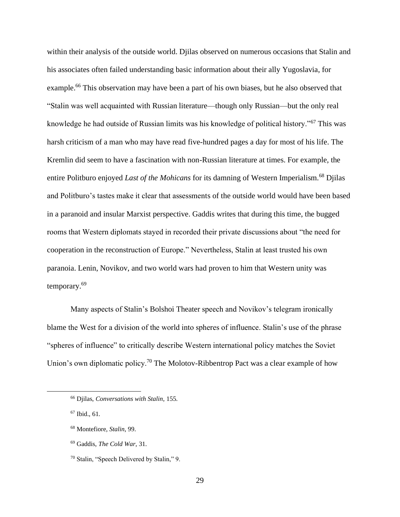within their analysis of the outside world. Djilas observed on numerous occasions that Stalin and his associates often failed understanding basic information about their ally Yugoslavia, for example.<sup>66</sup> This observation may have been a part of his own biases, but he also observed that "Stalin was well acquainted with Russian literature—though only Russian—but the only real knowledge he had outside of Russian limits was his knowledge of political history."<sup>67</sup> This was harsh criticism of a man who may have read five-hundred pages a day for most of his life. The Kremlin did seem to have a fascination with non-Russian literature at times. For example, the entire Politburo enjoyed *Last of the Mohicans* for its damning of Western Imperialism.<sup>68</sup> Djilas and Politburo's tastes make it clear that assessments of the outside world would have been based in a paranoid and insular Marxist perspective. Gaddis writes that during this time, the bugged rooms that Western diplomats stayed in recorded their private discussions about "the need for cooperation in the reconstruction of Europe." Nevertheless, Stalin at least trusted his own paranoia. Lenin, Novikov, and two world wars had proven to him that Western unity was temporary.<sup>69</sup>

Many aspects of Stalin's Bolshoi Theater speech and Novikov's telegram ironically blame the West for a division of the world into spheres of influence. Stalin's use of the phrase "spheres of influence" to critically describe Western international policy matches the Soviet Union's own diplomatic policy.<sup>70</sup> The Molotov-Ribbentrop Pact was a clear example of how

<sup>66</sup> Djilas, *Conversations with Stalin*, 155.

<sup>67</sup> Ibid., 61.

<sup>68</sup> Montefiore, *Stalin*, 99.

<sup>69</sup> Gaddis, *The Cold War*, 31.

<sup>70</sup> Stalin, "Speech Delivered by Stalin," 9.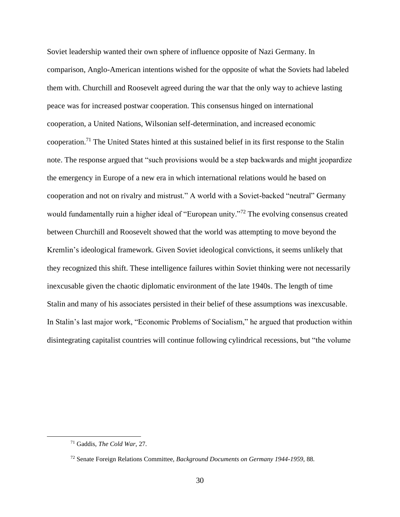Soviet leadership wanted their own sphere of influence opposite of Nazi Germany. In comparison, Anglo-American intentions wished for the opposite of what the Soviets had labeled them with. Churchill and Roosevelt agreed during the war that the only way to achieve lasting peace was for increased postwar cooperation. This consensus hinged on international cooperation, a United Nations, Wilsonian self-determination, and increased economic cooperation.<sup>71</sup> The United States hinted at this sustained belief in its first response to the Stalin note. The response argued that "such provisions would be a step backwards and might jeopardize the emergency in Europe of a new era in which international relations would he based on cooperation and not on rivalry and mistrust." A world with a Soviet-backed "neutral" Germany would fundamentally ruin a higher ideal of "European unity."<sup>72</sup> The evolving consensus created between Churchill and Roosevelt showed that the world was attempting to move beyond the Kremlin's ideological framework. Given Soviet ideological convictions, it seems unlikely that they recognized this shift. These intelligence failures within Soviet thinking were not necessarily inexcusable given the chaotic diplomatic environment of the late 1940s. The length of time Stalin and many of his associates persisted in their belief of these assumptions was inexcusable. In Stalin's last major work, "Economic Problems of Socialism," he argued that production within disintegrating capitalist countries will continue following cylindrical recessions, but "the volume

<sup>71</sup> Gaddis, *The Cold War*, 27.

<sup>72</sup> Senate Foreign Relations Committee, *Background Documents on Germany 1944-1959*, 88.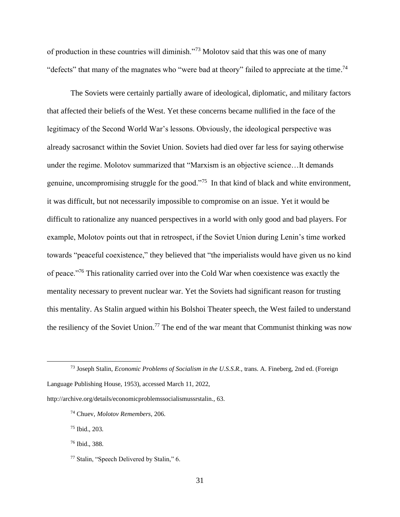of production in these countries will diminish."<sup>73</sup> Molotov said that this was one of many "defects" that many of the magnates who "were bad at theory" failed to appreciate at the time.<sup>74</sup>

The Soviets were certainly partially aware of ideological, diplomatic, and military factors that affected their beliefs of the West. Yet these concerns became nullified in the face of the legitimacy of the Second World War's lessons. Obviously, the ideological perspective was already sacrosanct within the Soviet Union. Soviets had died over far less for saying otherwise under the regime. Molotov summarized that "Marxism is an objective science…It demands genuine, uncompromising struggle for the good. $175$  In that kind of black and white environment, it was difficult, but not necessarily impossible to compromise on an issue. Yet it would be difficult to rationalize any nuanced perspectives in a world with only good and bad players. For example, Molotov points out that in retrospect, if the Soviet Union during Lenin's time worked towards "peaceful coexistence," they believed that "the imperialists would have given us no kind of peace."<sup>76</sup> This rationality carried over into the Cold War when coexistence was exactly the mentality necessary to prevent nuclear war. Yet the Soviets had significant reason for trusting this mentality. As Stalin argued within his Bolshoi Theater speech, the West failed to understand the resiliency of the Soviet Union.<sup>77</sup> The end of the war meant that Communist thinking was now

http://archive.org/details/economicproblemssocialismussrstalin., 63.

<sup>75</sup> Ibid., 203.

<sup>73</sup> Joseph Stalin, *Economic Problems of Socialism in the U.S.S.R.*, trans. A. Fineberg, 2nd ed. (Foreign Language Publishing House, 1953), accessed March 11, 2022,

<sup>74</sup> Chuev, *Molotov Remembers*, 206.

<sup>76</sup> Ibid., 388.

<sup>77</sup> Stalin, "Speech Delivered by Stalin," 6.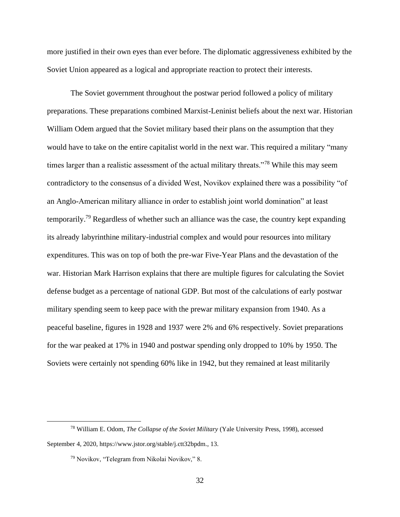more justified in their own eyes than ever before. The diplomatic aggressiveness exhibited by the Soviet Union appeared as a logical and appropriate reaction to protect their interests.

The Soviet government throughout the postwar period followed a policy of military preparations. These preparations combined Marxist-Leninist beliefs about the next war. Historian William Odem argued that the Soviet military based their plans on the assumption that they would have to take on the entire capitalist world in the next war. This required a military "many times larger than a realistic assessment of the actual military threats."<sup>78</sup> While this may seem contradictory to the consensus of a divided West, Novikov explained there was a possibility "of an Anglo-American military alliance in order to establish joint world domination" at least temporarily.<sup>79</sup> Regardless of whether such an alliance was the case, the country kept expanding its already labyrinthine military-industrial complex and would pour resources into military expenditures. This was on top of both the pre-war Five-Year Plans and the devastation of the war. Historian Mark Harrison explains that there are multiple figures for calculating the Soviet defense budget as a percentage of national GDP. But most of the calculations of early postwar military spending seem to keep pace with the prewar military expansion from 1940. As a peaceful baseline, figures in 1928 and 1937 were 2% and 6% respectively. Soviet preparations for the war peaked at 17% in 1940 and postwar spending only dropped to 10% by 1950. The Soviets were certainly not spending 60% like in 1942, but they remained at least militarily

<sup>78</sup> William E. Odom, *The Collapse of the Soviet Military* (Yale University Press, 1998), accessed September 4, 2020, https://www.jstor.org/stable/j.ctt32bpdm., 13.

<sup>79</sup> Novikov, "Telegram from Nikolai Novikov," 8.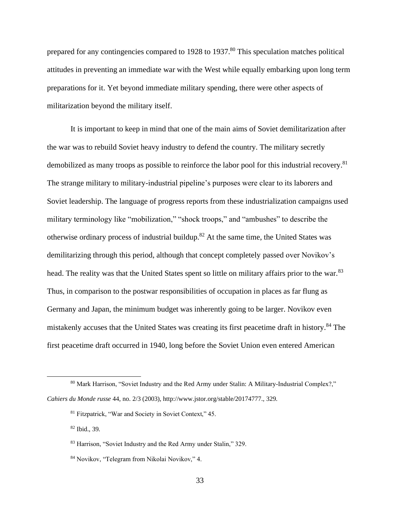prepared for any contingencies compared to 1928 to 1937.<sup>80</sup> This speculation matches political attitudes in preventing an immediate war with the West while equally embarking upon long term preparations for it. Yet beyond immediate military spending, there were other aspects of militarization beyond the military itself.

It is important to keep in mind that one of the main aims of Soviet demilitarization after the war was to rebuild Soviet heavy industry to defend the country. The military secretly demobilized as many troops as possible to reinforce the labor pool for this industrial recovery.<sup>81</sup> The strange military to military-industrial pipeline's purposes were clear to its laborers and Soviet leadership. The language of progress reports from these industrialization campaigns used military terminology like "mobilization," "shock troops," and "ambushes" to describe the otherwise ordinary process of industrial buildup.<sup>82</sup> At the same time, the United States was demilitarizing through this period, although that concept completely passed over Novikov's head. The reality was that the United States spent so little on military affairs prior to the war.<sup>83</sup> Thus, in comparison to the postwar responsibilities of occupation in places as far flung as Germany and Japan, the minimum budget was inherently going to be larger. Novikov even mistakenly accuses that the United States was creating its first peacetime draft in history.<sup>84</sup> The first peacetime draft occurred in 1940, long before the Soviet Union even entered American

<sup>80</sup> Mark Harrison, "Soviet Industry and the Red Army under Stalin: A Military-Industrial Complex?," *Cahiers du Monde russe* 44, no. 2/3 (2003), http://www.jstor.org/stable/20174777., 329.

<sup>81</sup> Fitzpatrick, "War and Society in Soviet Context," 45.

<sup>82</sup> Ibid., 39.

<sup>83</sup> Harrison, "Soviet Industry and the Red Army under Stalin," 329.

<sup>84</sup> Novikov, "Telegram from Nikolai Novikov," 4.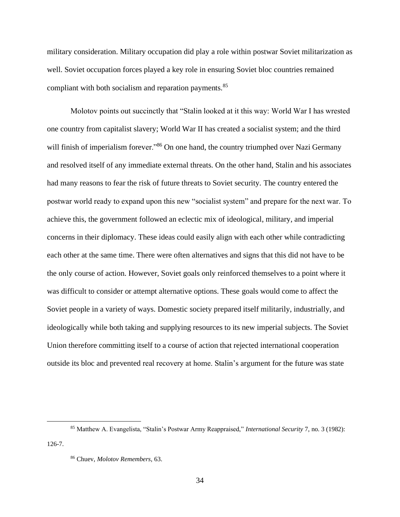military consideration. Military occupation did play a role within postwar Soviet militarization as well. Soviet occupation forces played a key role in ensuring Soviet bloc countries remained compliant with both socialism and reparation payments.<sup>85</sup>

Molotov points out succinctly that "Stalin looked at it this way: World War I has wrested one country from capitalist slavery; World War II has created a socialist system; and the third will finish of imperialism forever."<sup>86</sup> On one hand, the country triumphed over Nazi Germany and resolved itself of any immediate external threats. On the other hand, Stalin and his associates had many reasons to fear the risk of future threats to Soviet security. The country entered the postwar world ready to expand upon this new "socialist system" and prepare for the next war. To achieve this, the government followed an eclectic mix of ideological, military, and imperial concerns in their diplomacy. These ideas could easily align with each other while contradicting each other at the same time. There were often alternatives and signs that this did not have to be the only course of action. However, Soviet goals only reinforced themselves to a point where it was difficult to consider or attempt alternative options. These goals would come to affect the Soviet people in a variety of ways. Domestic society prepared itself militarily, industrially, and ideologically while both taking and supplying resources to its new imperial subjects. The Soviet Union therefore committing itself to a course of action that rejected international cooperation outside its bloc and prevented real recovery at home. Stalin's argument for the future was state

126-7.

<sup>85</sup> Matthew A. Evangelista, "Stalin's Postwar Army Reappraised," *International Security* 7, no. 3 (1982):

<sup>86</sup> Chuev, *Molotov Remembers*, 63.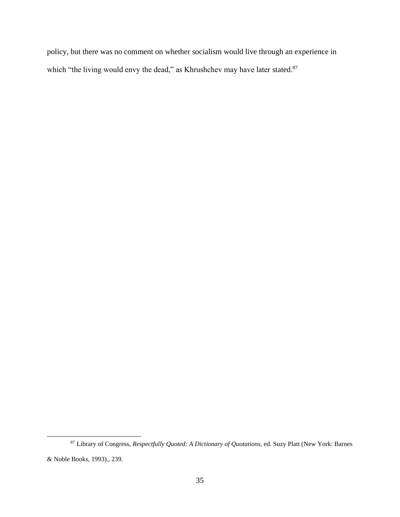policy, but there was no comment on whether socialism would live through an experience in which "the living would envy the dead," as Khrushchev may have later stated.<sup>87</sup>

<sup>87</sup> Library of Congress, *Respectfully Quoted: A Dictionary of Quotations*, ed. Suzy Platt (New York: Barnes & Noble Books, 1993)., 239.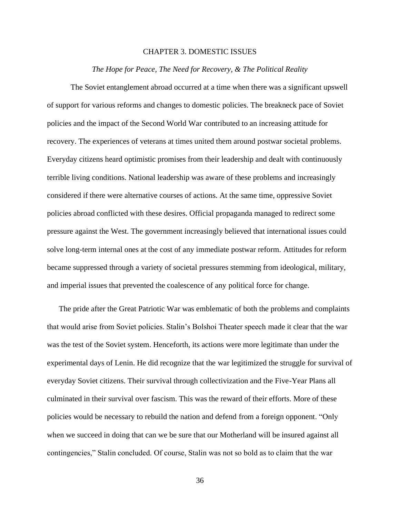#### CHAPTER 3. DOMESTIC ISSUES

#### *The Hope for Peace, The Need for Recovery, & The Political Reality*

<span id="page-36-1"></span><span id="page-36-0"></span>The Soviet entanglement abroad occurred at a time when there was a significant upswell of support for various reforms and changes to domestic policies. The breakneck pace of Soviet policies and the impact of the Second World War contributed to an increasing attitude for recovery. The experiences of veterans at times united them around postwar societal problems. Everyday citizens heard optimistic promises from their leadership and dealt with continuously terrible living conditions. National leadership was aware of these problems and increasingly considered if there were alternative courses of actions. At the same time, oppressive Soviet policies abroad conflicted with these desires. Official propaganda managed to redirect some pressure against the West. The government increasingly believed that international issues could solve long-term internal ones at the cost of any immediate postwar reform. Attitudes for reform became suppressed through a variety of societal pressures stemming from ideological, military, and imperial issues that prevented the coalescence of any political force for change.

The pride after the Great Patriotic War was emblematic of both the problems and complaints that would arise from Soviet policies. Stalin's Bolshoi Theater speech made it clear that the war was the test of the Soviet system. Henceforth, its actions were more legitimate than under the experimental days of Lenin. He did recognize that the war legitimized the struggle for survival of everyday Soviet citizens. Their survival through collectivization and the Five-Year Plans all culminated in their survival over fascism. This was the reward of their efforts. More of these policies would be necessary to rebuild the nation and defend from a foreign opponent. "Only when we succeed in doing that can we be sure that our Motherland will be insured against all contingencies," Stalin concluded. Of course, Stalin was not so bold as to claim that the war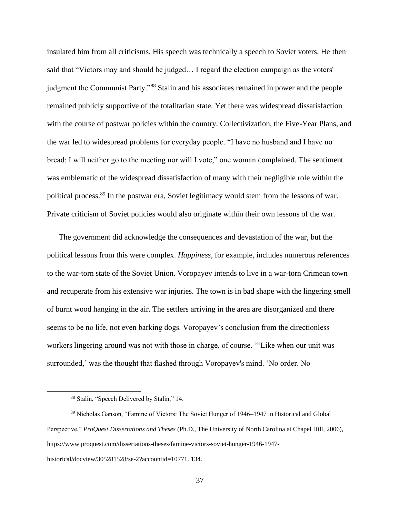insulated him from all criticisms. His speech was technically a speech to Soviet voters. He then said that "Victors may and should be judged… I regard the election campaign as the voters' judgment the Communist Party."<sup>88</sup> Stalin and his associates remained in power and the people remained publicly supportive of the totalitarian state. Yet there was widespread dissatisfaction with the course of postwar policies within the country. Collectivization, the Five-Year Plans, and the war led to widespread problems for everyday people. "I have no husband and I have no bread: I will neither go to the meeting nor will I vote," one woman complained. The sentiment was emblematic of the widespread dissatisfaction of many with their negligible role within the political process.<sup>89</sup> In the postwar era, Soviet legitimacy would stem from the lessons of war. Private criticism of Soviet policies would also originate within their own lessons of the war.

The government did acknowledge the consequences and devastation of the war, but the political lessons from this were complex. *Happiness*, for example, includes numerous references to the war-torn state of the Soviet Union. Voropayev intends to live in a war-torn Crimean town and recuperate from his extensive war injuries. The town is in bad shape with the lingering smell of burnt wood hanging in the air. The settlers arriving in the area are disorganized and there seems to be no life, not even barking dogs. Voropayev's conclusion from the directionless workers lingering around was not with those in charge, of course. "'Like when our unit was surrounded,' was the thought that flashed through Voropayev's mind. 'No order. No

historical/docview/305281528/se-2?accountid=10771. 134.

<sup>88</sup> Stalin, "Speech Delivered by Stalin," 14.

<sup>89</sup> Nicholas Ganson, "Famine of Victors: The Soviet Hunger of 1946–1947 in Historical and Global Perspective," *ProQuest Dissertations and Theses* (Ph.D., The University of North Carolina at Chapel Hill, 2006), https://www.proquest.com/dissertations-theses/famine-victors-soviet-hunger-1946-1947-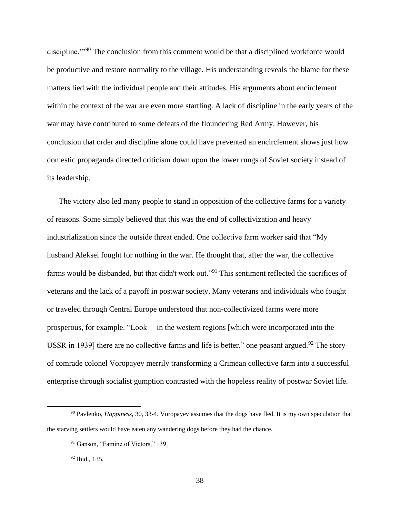discipline."<sup>90</sup> The conclusion from this comment would be that a disciplined workforce would be productive and restore normality to the village. His understanding reveals the blame for these matters lied with the individual people and their attitudes. His arguments about encirclement within the context of the war are even more startling. A lack of discipline in the early years of the war may have contributed to some defeats of the floundering Red Army. However, his conclusion that order and discipline alone could have prevented an encirclement shows just how domestic propaganda directed criticism down upon the lower rungs of Soviet society instead of its leadership.

The victory also led many people to stand in opposition of the collective farms for a variety of reasons. Some simply believed that this was the end of collectivization and heavy industrialization since the outside threat ended. One collective farm worker said that "My husband Aleksei fought for nothing in the war. He thought that, after the war, the collective farms would be disbanded, but that didn't work out."<sup>91</sup> This sentiment reflected the sacrifices of veterans and the lack of a payoff in postwar society. Many veterans and individuals who fought or traveled through Central Europe understood that non-collectivized farms were more prosperous, for example. "Look— in the western regions [which were incorporated into the USSR in 1939] there are no collective farms and life is better," one peasant argued.<sup>92</sup> The story of comrade colonel Voropayev merrily transforming a Crimean collective farm into a successful enterprise through socialist gumption contrasted with the hopeless reality of postwar Soviet life.

<sup>90</sup> Pavlenko, *Happiness*, 30, 33-4. Voropayev assumes that the dogs have fled. It is my own speculation that the starving settlers would have eaten any wandering dogs before they had the chance.

<sup>&</sup>lt;sup>91</sup> Ganson, "Famine of Victors," 139.

<sup>92</sup> Ibid., 135.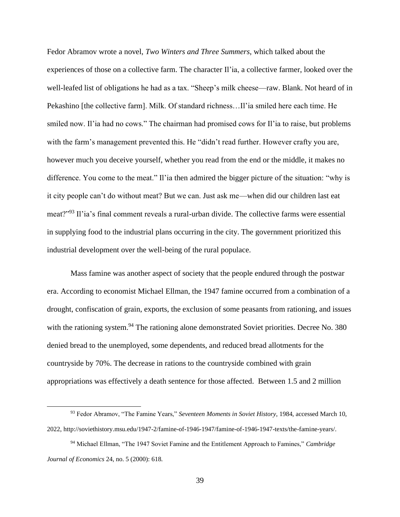Fedor Abramov wrote a novel, *Two Winters and Three Summers*, which talked about the experiences of those on a collective farm. The character Il'ia, a collective farmer, looked over the well-leafed list of obligations he had as a tax. "Sheep's milk cheese—raw. Blank. Not heard of in Pekashino [the collective farm]. Milk. Of standard richness…Il'ia smiled here each time. He smiled now. Il'ia had no cows." The chairman had promised cows for Il'ia to raise, but problems with the farm's management prevented this. He "didn't read further. However crafty you are, however much you deceive yourself, whether you read from the end or the middle, it makes no difference. You come to the meat." Il'ia then admired the bigger picture of the situation: "why is it city people can't do without meat? But we can. Just ask me—when did our children last eat meat?"<sup>93</sup> Il'ia's final comment reveals a rural-urban divide. The collective farms were essential in supplying food to the industrial plans occurring in the city. The government prioritized this industrial development over the well-being of the rural populace.

Mass famine was another aspect of society that the people endured through the postwar era. According to economist Michael Ellman, the 1947 famine occurred from a combination of a drought, confiscation of grain, exports, the exclusion of some peasants from rationing, and issues with the rationing system.<sup>94</sup> The rationing alone demonstrated Soviet priorities. Decree No. 380 denied bread to the unemployed, some dependents, and reduced bread allotments for the countryside by 70%. The decrease in rations to the countryside combined with grain appropriations was effectively a death sentence for those affected. Between 1.5 and 2 million

<sup>93</sup> Fedor Abramov, "The Famine Years," *Seventeen Moments in Soviet History*, 1984, accessed March 10, 2022, http://soviethistory.msu.edu/1947-2/famine-of-1946-1947/famine-of-1946-1947-texts/the-famine-years/.

<sup>94</sup> Michael Ellman, "The 1947 Soviet Famine and the Entitlement Approach to Famines," *Cambridge Journal of Economics* 24, no. 5 (2000): 618.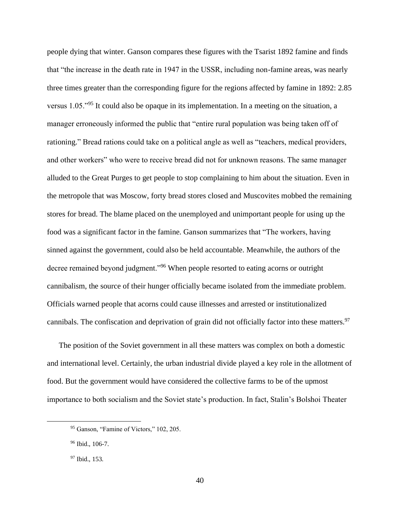people dying that winter. Ganson compares these figures with the Tsarist 1892 famine and finds that "the increase in the death rate in 1947 in the USSR, including non-famine areas, was nearly three times greater than the corresponding figure for the regions affected by famine in 1892: 2.85 versus 1.05."<sup>95</sup> It could also be opaque in its implementation. In a meeting on the situation, a manager erroneously informed the public that "entire rural population was being taken off of rationing." Bread rations could take on a political angle as well as "teachers, medical providers, and other workers" who were to receive bread did not for unknown reasons. The same manager alluded to the Great Purges to get people to stop complaining to him about the situation. Even in the metropole that was Moscow, forty bread stores closed and Muscovites mobbed the remaining stores for bread. The blame placed on the unemployed and unimportant people for using up the food was a significant factor in the famine. Ganson summarizes that "The workers, having sinned against the government, could also be held accountable. Meanwhile, the authors of the decree remained beyond judgment."<sup>96</sup> When people resorted to eating acorns or outright cannibalism, the source of their hunger officially became isolated from the immediate problem. Officials warned people that acorns could cause illnesses and arrested or institutionalized cannibals. The confiscation and deprivation of grain did not officially factor into these matters. 97

The position of the Soviet government in all these matters was complex on both a domestic and international level. Certainly, the urban industrial divide played a key role in the allotment of food. But the government would have considered the collective farms to be of the upmost importance to both socialism and the Soviet state's production. In fact, Stalin's Bolshoi Theater

<sup>95</sup> Ganson, "Famine of Victors," 102, 205.

<sup>96</sup> Ibid., 106-7.

<sup>&</sup>lt;sup>97</sup> Ibid., 153.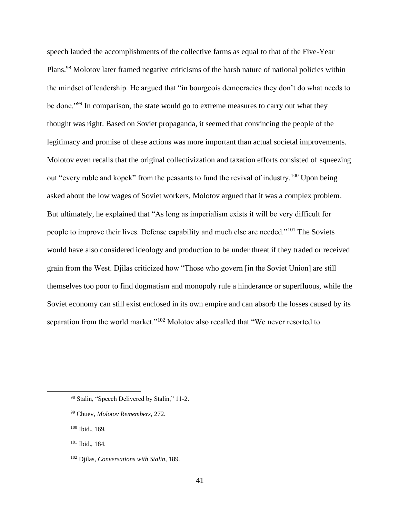speech lauded the accomplishments of the collective farms as equal to that of the Five-Year Plans.<sup>98</sup> Molotov later framed negative criticisms of the harsh nature of national policies within the mindset of leadership. He argued that "in bourgeois democracies they don't do what needs to be done."<sup>99</sup> In comparison, the state would go to extreme measures to carry out what they thought was right. Based on Soviet propaganda, it seemed that convincing the people of the legitimacy and promise of these actions was more important than actual societal improvements. Molotov even recalls that the original collectivization and taxation efforts consisted of squeezing out "every ruble and kopek" from the peasants to fund the revival of industry.<sup>100</sup> Upon being asked about the low wages of Soviet workers, Molotov argued that it was a complex problem. But ultimately, he explained that "As long as imperialism exists it will be very difficult for people to improve their lives. Defense capability and much else are needed."<sup>101</sup> The Soviets would have also considered ideology and production to be under threat if they traded or received grain from the West. Djilas criticized how "Those who govern [in the Soviet Union] are still themselves too poor to find dogmatism and monopoly rule a hinderance or superfluous, while the Soviet economy can still exist enclosed in its own empire and can absorb the losses caused by its separation from the world market."<sup>102</sup> Molotov also recalled that "We never resorted to

<sup>100</sup> Ibid., 169.

<sup>98</sup> Stalin, "Speech Delivered by Stalin," 11-2.

<sup>99</sup> Chuev, *Molotov Remembers*, 272.

<sup>101</sup> Ibid., 184.

<sup>102</sup> Djilas, *Conversations with Stalin*, 189.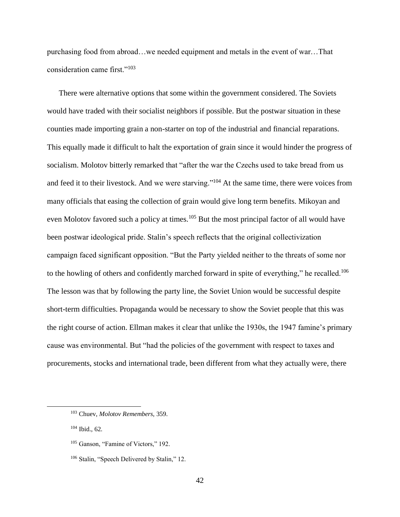purchasing food from abroad…we needed equipment and metals in the event of war…That consideration came first."<sup>103</sup>

There were alternative options that some within the government considered. The Soviets would have traded with their socialist neighbors if possible. But the postwar situation in these counties made importing grain a non-starter on top of the industrial and financial reparations. This equally made it difficult to halt the exportation of grain since it would hinder the progress of socialism. Molotov bitterly remarked that "after the war the Czechs used to take bread from us and feed it to their livestock. And we were starving."<sup>104</sup> At the same time, there were voices from many officials that easing the collection of grain would give long term benefits. Mikoyan and even Molotov favored such a policy at times.<sup>105</sup> But the most principal factor of all would have been postwar ideological pride. Stalin's speech reflects that the original collectivization campaign faced significant opposition. "But the Party yielded neither to the threats of some nor to the howling of others and confidently marched forward in spite of everything," he recalled.<sup>106</sup> The lesson was that by following the party line, the Soviet Union would be successful despite short-term difficulties. Propaganda would be necessary to show the Soviet people that this was the right course of action. Ellman makes it clear that unlike the 1930s, the 1947 famine's primary cause was environmental. But "had the policies of the government with respect to taxes and procurements, stocks and international trade, been different from what they actually were, there

<sup>104</sup> Ibid., 62.

<sup>103</sup> Chuev, *Molotov Remembers*, 359.

<sup>&</sup>lt;sup>105</sup> Ganson, "Famine of Victors," 192.

<sup>106</sup> Stalin, "Speech Delivered by Stalin," 12.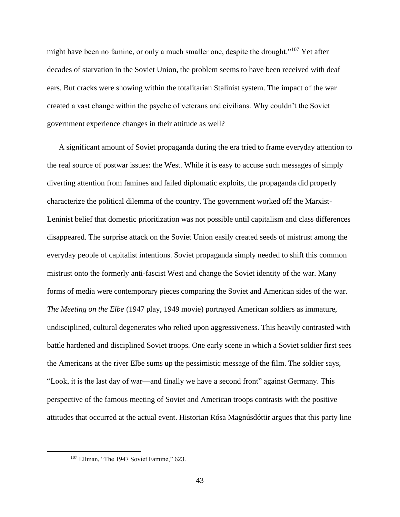might have been no famine, or only a much smaller one, despite the drought."<sup>107</sup> Yet after decades of starvation in the Soviet Union, the problem seems to have been received with deaf ears. But cracks were showing within the totalitarian Stalinist system. The impact of the war created a vast change within the psyche of veterans and civilians. Why couldn't the Soviet government experience changes in their attitude as well?

A significant amount of Soviet propaganda during the era tried to frame everyday attention to the real source of postwar issues: the West. While it is easy to accuse such messages of simply diverting attention from famines and failed diplomatic exploits, the propaganda did properly characterize the political dilemma of the country. The government worked off the Marxist-Leninist belief that domestic prioritization was not possible until capitalism and class differences disappeared. The surprise attack on the Soviet Union easily created seeds of mistrust among the everyday people of capitalist intentions. Soviet propaganda simply needed to shift this common mistrust onto the formerly anti-fascist West and change the Soviet identity of the war. Many forms of media were contemporary pieces comparing the Soviet and American sides of the war. *The Meeting on the Elbe* (1947 play, 1949 movie) portrayed American soldiers as immature, undisciplined, cultural degenerates who relied upon aggressiveness. This heavily contrasted with battle hardened and disciplined Soviet troops. One early scene in which a Soviet soldier first sees the Americans at the river Elbe sums up the pessimistic message of the film. The soldier says, "Look, it is the last day of war—and finally we have a second front" against Germany. This perspective of the famous meeting of Soviet and American troops contrasts with the positive attitudes that occurred at the actual event. Historian Rósa Magnúsdóttir argues that this party line

<sup>&</sup>lt;sup>107</sup> Ellman, "The 1947 Soviet Famine," 623.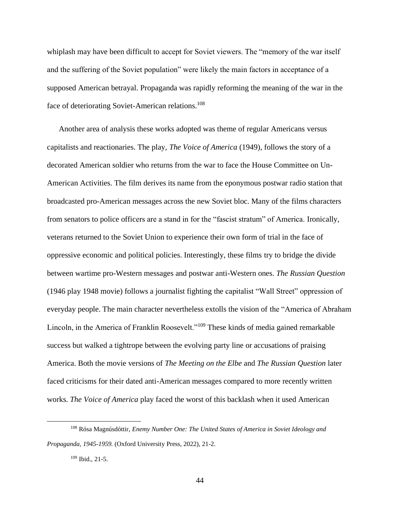whiplash may have been difficult to accept for Soviet viewers. The "memory of the war itself and the suffering of the Soviet population" were likely the main factors in acceptance of a supposed American betrayal. Propaganda was rapidly reforming the meaning of the war in the face of deteriorating Soviet-American relations.<sup>108</sup>

Another area of analysis these works adopted was theme of regular Americans versus capitalists and reactionaries. The play, *The Voice of America* (1949), follows the story of a decorated American soldier who returns from the war to face the House Committee on Un-American Activities. The film derives its name from the eponymous postwar radio station that broadcasted pro-American messages across the new Soviet bloc. Many of the films characters from senators to police officers are a stand in for the "fascist stratum" of America. Ironically, veterans returned to the Soviet Union to experience their own form of trial in the face of oppressive economic and political policies. Interestingly, these films try to bridge the divide between wartime pro-Western messages and postwar anti-Western ones. *The Russian Question* (1946 play 1948 movie) follows a journalist fighting the capitalist "Wall Street" oppression of everyday people. The main character nevertheless extolls the vision of the "America of Abraham Lincoln, in the America of Franklin Roosevelt."<sup>109</sup> These kinds of media gained remarkable success but walked a tightrope between the evolving party line or accusations of praising America. Both the movie versions of *The Meeting on the Elbe* and *The Russian Question* later faced criticisms for their dated anti-American messages compared to more recently written works. *The Voice of America* play faced the worst of this backlash when it used American

<sup>108</sup> Rósa Magnúsdóttir, *Enemy Number One: The United States of America in Soviet Ideology and Propaganda, 1945-1959.* (Oxford University Press, 2022), 21-2.

<sup>109</sup> Ibid., 21-5.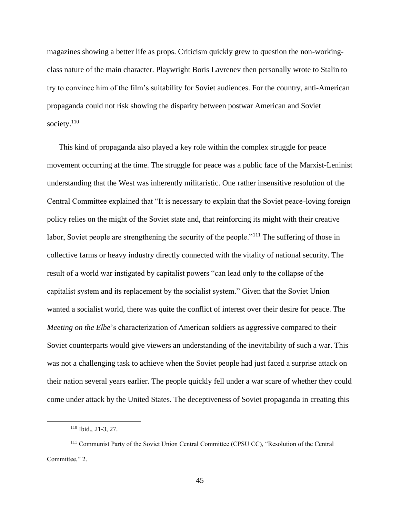magazines showing a better life as props. Criticism quickly grew to question the non-workingclass nature of the main character. Playwright Boris Lavrenev then personally wrote to Stalin to try to convince him of the film's suitability for Soviet audiences. For the country, anti-American propaganda could not risk showing the disparity between postwar American and Soviet society.<sup>110</sup>

This kind of propaganda also played a key role within the complex struggle for peace movement occurring at the time. The struggle for peace was a public face of the Marxist-Leninist understanding that the West was inherently militaristic. One rather insensitive resolution of the Central Committee explained that "It is necessary to explain that the Soviet peace-loving foreign policy relies on the might of the Soviet state and, that reinforcing its might with their creative labor, Soviet people are strengthening the security of the people."<sup>111</sup> The suffering of those in collective farms or heavy industry directly connected with the vitality of national security. The result of a world war instigated by capitalist powers "can lead only to the collapse of the capitalist system and its replacement by the socialist system." Given that the Soviet Union wanted a socialist world, there was quite the conflict of interest over their desire for peace. The *Meeting on the Elbe*'s characterization of American soldiers as aggressive compared to their Soviet counterparts would give viewers an understanding of the inevitability of such a war. This was not a challenging task to achieve when the Soviet people had just faced a surprise attack on their nation several years earlier. The people quickly fell under a war scare of whether they could come under attack by the United States. The deceptiveness of Soviet propaganda in creating this

<sup>110</sup> Ibid., 21-3, 27.

<sup>111</sup> Communist Party of the Soviet Union Central Committee (CPSU CC), "Resolution of the Central Committee," 2.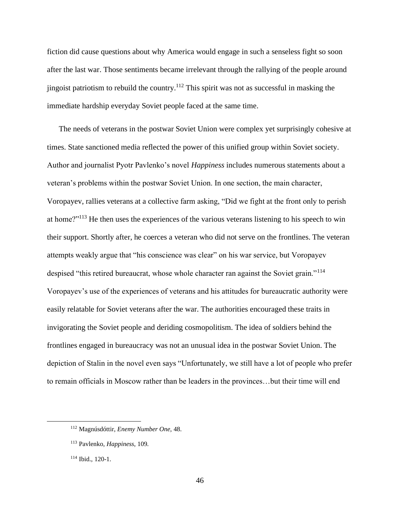fiction did cause questions about why America would engage in such a senseless fight so soon after the last war. Those sentiments became irrelevant through the rallying of the people around jingoist patriotism to rebuild the country.<sup>112</sup> This spirit was not as successful in masking the immediate hardship everyday Soviet people faced at the same time.

The needs of veterans in the postwar Soviet Union were complex yet surprisingly cohesive at times. State sanctioned media reflected the power of this unified group within Soviet society. Author and journalist Pyotr Pavlenko's novel *Happiness* includes numerous statements about a veteran's problems within the postwar Soviet Union. In one section, the main character, Voropayev, rallies veterans at a collective farm asking, "Did we fight at the front only to perish at home?"<sup>113</sup> He then uses the experiences of the various veterans listening to his speech to win their support. Shortly after, he coerces a veteran who did not serve on the frontlines. The veteran attempts weakly argue that "his conscience was clear" on his war service, but Voropayev despised "this retired bureaucrat, whose whole character ran against the Soviet grain."<sup>114</sup> Voropayev's use of the experiences of veterans and his attitudes for bureaucratic authority were easily relatable for Soviet veterans after the war. The authorities encouraged these traits in invigorating the Soviet people and deriding cosmopolitism. The idea of soldiers behind the frontlines engaged in bureaucracy was not an unusual idea in the postwar Soviet Union. The depiction of Stalin in the novel even says "Unfortunately, we still have a lot of people who prefer to remain officials in Moscow rather than be leaders in the provinces…but their time will end

<sup>112</sup> Magnúsdóttir, *Enemy Number One*, 48.

<sup>113</sup> Pavlenko, *Happiness*, 109.

<sup>114</sup> Ibid., 120-1.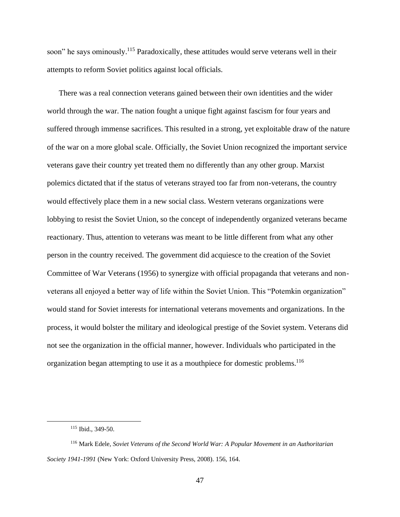soon" he says ominously.<sup>115</sup> Paradoxically, these attitudes would serve veterans well in their attempts to reform Soviet politics against local officials.

There was a real connection veterans gained between their own identities and the wider world through the war. The nation fought a unique fight against fascism for four years and suffered through immense sacrifices. This resulted in a strong, yet exploitable draw of the nature of the war on a more global scale. Officially, the Soviet Union recognized the important service veterans gave their country yet treated them no differently than any other group. Marxist polemics dictated that if the status of veterans strayed too far from non-veterans, the country would effectively place them in a new social class. Western veterans organizations were lobbying to resist the Soviet Union, so the concept of independently organized veterans became reactionary. Thus, attention to veterans was meant to be little different from what any other person in the country received. The government did acquiesce to the creation of the Soviet Committee of War Veterans (1956) to synergize with official propaganda that veterans and nonveterans all enjoyed a better way of life within the Soviet Union. This "Potemkin organization" would stand for Soviet interests for international veterans movements and organizations. In the process, it would bolster the military and ideological prestige of the Soviet system. Veterans did not see the organization in the official manner, however. Individuals who participated in the organization began attempting to use it as a mouthpiece for domestic problems. 116

<sup>115</sup> Ibid., 349-50.

<sup>116</sup> Mark Edele, *Soviet Veterans of the Second World War: A Popular Movement in an Authoritarian Society 1941-1991* (New York: Oxford University Press, 2008). 156, 164.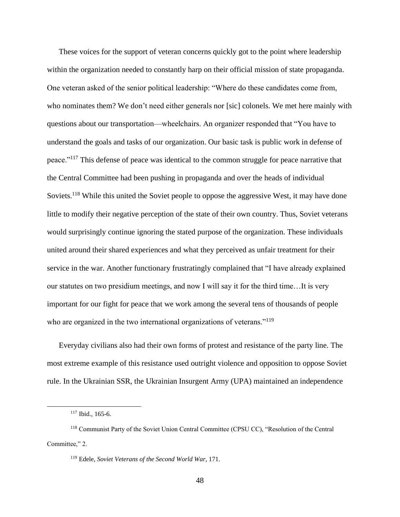These voices for the support of veteran concerns quickly got to the point where leadership within the organization needed to constantly harp on their official mission of state propaganda. One veteran asked of the senior political leadership: "Where do these candidates come from, who nominates them? We don't need either generals nor [sic] colonels. We met here mainly with questions about our transportation—wheelchairs. An organizer responded that "You have to understand the goals and tasks of our organization. Our basic task is public work in defense of peace."<sup>117</sup> This defense of peace was identical to the common struggle for peace narrative that the Central Committee had been pushing in propaganda and over the heads of individual Soviets.<sup>118</sup> While this united the Soviet people to oppose the aggressive West, it may have done little to modify their negative perception of the state of their own country. Thus, Soviet veterans would surprisingly continue ignoring the stated purpose of the organization. These individuals united around their shared experiences and what they perceived as unfair treatment for their service in the war. Another functionary frustratingly complained that "I have already explained our statutes on two presidium meetings, and now I will say it for the third time…It is very important for our fight for peace that we work among the several tens of thousands of people who are organized in the two international organizations of veterans."<sup>119</sup>

Everyday civilians also had their own forms of protest and resistance of the party line. The most extreme example of this resistance used outright violence and opposition to oppose Soviet rule. In the Ukrainian SSR, the Ukrainian Insurgent Army (UPA) maintained an independence

<sup>117</sup> Ibid., 165-6.

<sup>118</sup> Communist Party of the Soviet Union Central Committee (CPSU CC), "Resolution of the Central Committee," 2.

<sup>119</sup> Edele, *Soviet Veterans of the Second World War*, 171.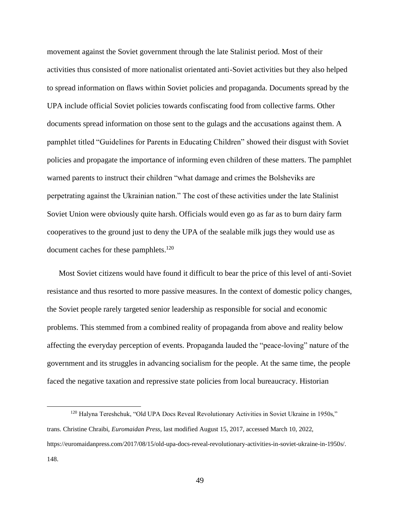movement against the Soviet government through the late Stalinist period. Most of their activities thus consisted of more nationalist orientated anti-Soviet activities but they also helped to spread information on flaws within Soviet policies and propaganda. Documents spread by the UPA include official Soviet policies towards confiscating food from collective farms. Other documents spread information on those sent to the gulags and the accusations against them. A pamphlet titled "Guidelines for Parents in Educating Children" showed their disgust with Soviet policies and propagate the importance of informing even children of these matters. The pamphlet warned parents to instruct their children "what damage and crimes the Bolsheviks are perpetrating against the Ukrainian nation." The cost of these activities under the late Stalinist Soviet Union were obviously quite harsh. Officials would even go as far as to burn dairy farm cooperatives to the ground just to deny the UPA of the sealable milk jugs they would use as document caches for these pamphlets.<sup>120</sup>

Most Soviet citizens would have found it difficult to bear the price of this level of anti-Soviet resistance and thus resorted to more passive measures. In the context of domestic policy changes, the Soviet people rarely targeted senior leadership as responsible for social and economic problems. This stemmed from a combined reality of propaganda from above and reality below affecting the everyday perception of events. Propaganda lauded the "peace-loving" nature of the government and its struggles in advancing socialism for the people. At the same time, the people faced the negative taxation and repressive state policies from local bureaucracy. Historian

<sup>&</sup>lt;sup>120</sup> Halyna Tereshchuk, "Old UPA Docs Reveal Revolutionary Activities in Soviet Ukraine in 1950s," trans. Christine Chraibi, *Euromaidan Press*, last modified August 15, 2017, accessed March 10, 2022, https://euromaidanpress.com/2017/08/15/old-upa-docs-reveal-revolutionary-activities-in-soviet-ukraine-in-1950s/. 148.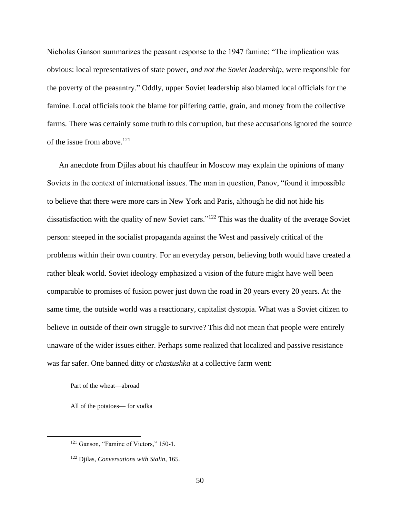Nicholas Ganson summarizes the peasant response to the 1947 famine: "The implication was obvious: local representatives of state power, *and not the Soviet leadership*, were responsible for the poverty of the peasantry." Oddly, upper Soviet leadership also blamed local officials for the famine. Local officials took the blame for pilfering cattle, grain, and money from the collective farms. There was certainly some truth to this corruption, but these accusations ignored the source of the issue from above. 121

An anecdote from Djilas about his chauffeur in Moscow may explain the opinions of many Soviets in the context of international issues. The man in question, Panov, "found it impossible to believe that there were more cars in New York and Paris, although he did not hide his dissatisfaction with the quality of new Soviet cars."<sup>122</sup> This was the duality of the average Soviet person: steeped in the socialist propaganda against the West and passively critical of the problems within their own country. For an everyday person, believing both would have created a rather bleak world. Soviet ideology emphasized a vision of the future might have well been comparable to promises of fusion power just down the road in 20 years every 20 years. At the same time, the outside world was a reactionary, capitalist dystopia. What was a Soviet citizen to believe in outside of their own struggle to survive? This did not mean that people were entirely unaware of the wider issues either. Perhaps some realized that localized and passive resistance was far safer. One banned ditty or *chastushka* at a collective farm went:

Part of the wheat—abroad

All of the potatoes— for vodka

<sup>&</sup>lt;sup>121</sup> Ganson, "Famine of Victors," 150-1.

<sup>122</sup> Djilas, *Conversations with Stalin*, 165.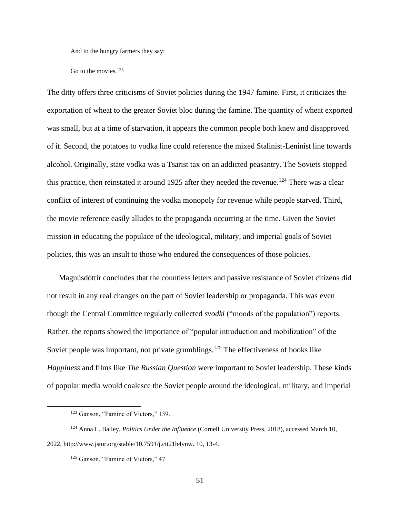And to the hungry farmers they say:

Go to the movies.<sup>123</sup>

The ditty offers three criticisms of Soviet policies during the 1947 famine. First, it criticizes the exportation of wheat to the greater Soviet bloc during the famine. The quantity of wheat exported was small, but at a time of starvation, it appears the common people both knew and disapproved of it. Second, the potatoes to vodka line could reference the mixed Stalinist-Leninist line towards alcohol. Originally, state vodka was a Tsarist tax on an addicted peasantry. The Soviets stopped this practice, then reinstated it around 1925 after they needed the revenue.<sup>124</sup> There was a clear conflict of interest of continuing the vodka monopoly for revenue while people starved. Third, the movie reference easily alludes to the propaganda occurring at the time. Given the Soviet mission in educating the populace of the ideological, military, and imperial goals of Soviet policies, this was an insult to those who endured the consequences of those policies.

Magnúsdóttir concludes that the countless letters and passive resistance of Soviet citizens did not result in any real changes on the part of Soviet leadership or propaganda. This was even though the Central Committee regularly collected *svodki* ("moods of the population") reports. Rather, the reports showed the importance of "popular introduction and mobilization" of the Soviet people was important, not private grumblings.<sup>125</sup> The effectiveness of books like *Happiness* and films like *The Russian Question* were important to Soviet leadership. These kinds of popular media would coalesce the Soviet people around the ideological, military, and imperial

<sup>&</sup>lt;sup>123</sup> Ganson, "Famine of Victors," 139.

<sup>124</sup> Anna L. Bailey, *Politics Under the Influence* (Cornell University Press, 2018), accessed March 10, 2022, http://www.jstor.org/stable/10.7591/j.ctt21h4vnw. 10, 13-4.

<sup>&</sup>lt;sup>125</sup> Ganson, "Famine of Victors," 47.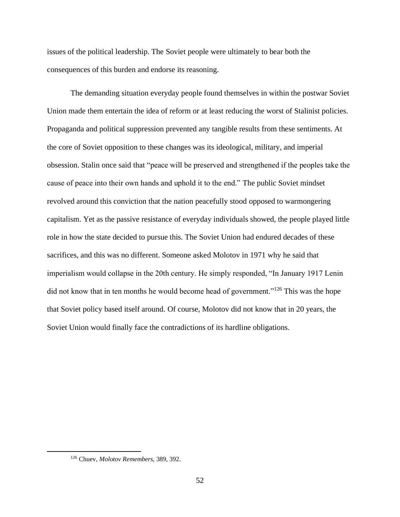issues of the political leadership. The Soviet people were ultimately to bear both the consequences of this burden and endorse its reasoning.

The demanding situation everyday people found themselves in within the postwar Soviet Union made them entertain the idea of reform or at least reducing the worst of Stalinist policies. Propaganda and political suppression prevented any tangible results from these sentiments. At the core of Soviet opposition to these changes was its ideological, military, and imperial obsession. Stalin once said that "peace will be preserved and strengthened if the peoples take the cause of peace into their own hands and uphold it to the end." The public Soviet mindset revolved around this conviction that the nation peacefully stood opposed to warmongering capitalism. Yet as the passive resistance of everyday individuals showed, the people played little role in how the state decided to pursue this. The Soviet Union had endured decades of these sacrifices, and this was no different. Someone asked Molotov in 1971 why he said that imperialism would collapse in the 20th century. He simply responded, "In January 1917 Lenin did not know that in ten months he would become head of government."<sup>126</sup> This was the hope that Soviet policy based itself around. Of course, Molotov did not know that in 20 years, the Soviet Union would finally face the contradictions of its hardline obligations.

<sup>126</sup> Chuev, *Molotov Remembers*, 389, 392.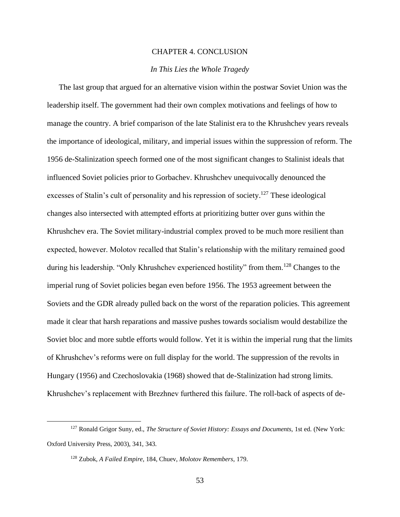#### CHAPTER 4. CONCLUSION

### *In This Lies the Whole Tragedy*

<span id="page-53-1"></span><span id="page-53-0"></span>The last group that argued for an alternative vision within the postwar Soviet Union was the leadership itself. The government had their own complex motivations and feelings of how to manage the country. A brief comparison of the late Stalinist era to the Khrushchev years reveals the importance of ideological, military, and imperial issues within the suppression of reform. The 1956 de-Stalinization speech formed one of the most significant changes to Stalinist ideals that influenced Soviet policies prior to Gorbachev. Khrushchev unequivocally denounced the excesses of Stalin's cult of personality and his repression of society.<sup>127</sup> These ideological changes also intersected with attempted efforts at prioritizing butter over guns within the Khrushchev era. The Soviet military-industrial complex proved to be much more resilient than expected, however. Molotov recalled that Stalin's relationship with the military remained good during his leadership. "Only Khrushchev experienced hostility" from them.<sup>128</sup> Changes to the imperial rung of Soviet policies began even before 1956. The 1953 agreement between the Soviets and the GDR already pulled back on the worst of the reparation policies. This agreement made it clear that harsh reparations and massive pushes towards socialism would destabilize the Soviet bloc and more subtle efforts would follow. Yet it is within the imperial rung that the limits of Khrushchev's reforms were on full display for the world. The suppression of the revolts in Hungary (1956) and Czechoslovakia (1968) showed that de-Stalinization had strong limits. Khrushchev's replacement with Brezhnev furthered this failure. The roll-back of aspects of de-

<sup>127</sup> Ronald Grigor Suny, ed., *The Structure of Soviet History: Essays and Documents*, 1st ed. (New York: Oxford University Press, 2003), 341, 343.

<sup>128</sup> Zubok, *A Failed Empire*, 184, Chuev, *Molotov Remembers*, 179.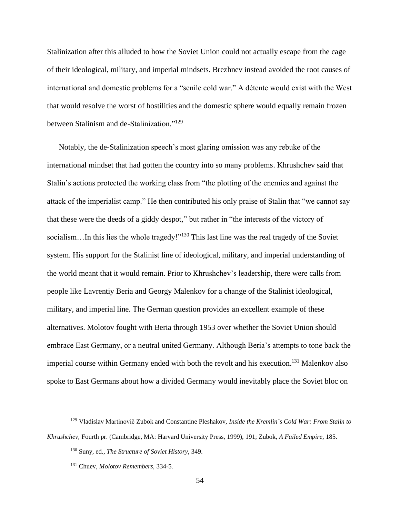Stalinization after this alluded to how the Soviet Union could not actually escape from the cage of their ideological, military, and imperial mindsets. Brezhnev instead avoided the root causes of international and domestic problems for a "senile cold war." A détente would exist with the West that would resolve the worst of hostilities and the domestic sphere would equally remain frozen between Stalinism and de-Stalinization."<sup>129</sup>

Notably, the de-Stalinization speech's most glaring omission was any rebuke of the international mindset that had gotten the country into so many problems. Khrushchev said that Stalin's actions protected the working class from "the plotting of the enemies and against the attack of the imperialist camp." He then contributed his only praise of Stalin that "we cannot say that these were the deeds of a giddy despot," but rather in "the interests of the victory of socialism...In this lies the whole tragedy!"<sup>130</sup> This last line was the real tragedy of the Soviet system. His support for the Stalinist line of ideological, military, and imperial understanding of the world meant that it would remain. Prior to Khrushchev's leadership, there were calls from people like Lavrentiy Beria and Georgy Malenkov for a change of the Stalinist ideological, military, and imperial line. The German question provides an excellent example of these alternatives. Molotov fought with Beria through 1953 over whether the Soviet Union should embrace East Germany, or a neutral united Germany. Although Beria's attempts to tone back the imperial course within Germany ended with both the revolt and his execution.<sup>131</sup> Malenkov also spoke to East Germans about how a divided Germany would inevitably place the Soviet bloc on

<sup>129</sup> Vladislav Martinovič Zubok and Constantine Pleshakov, *Inside the Kremlin´s Cold War: From Stalin to Khrushchev*, Fourth pr. (Cambridge, MA: Harvard University Press, 1999), 191; Zubok, *A Failed Empire*, 185.

<sup>130</sup> Suny, ed., *The Structure of Soviet History*, 349.

<sup>131</sup> Chuev, *Molotov Remembers*, 334-5.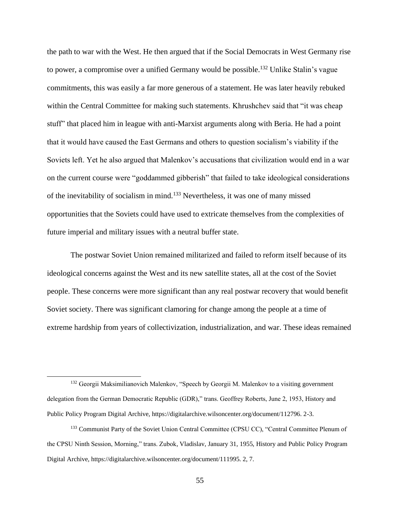the path to war with the West. He then argued that if the Social Democrats in West Germany rise to power, a compromise over a unified Germany would be possible.<sup>132</sup> Unlike Stalin's vague commitments, this was easily a far more generous of a statement. He was later heavily rebuked within the Central Committee for making such statements. Khrushchev said that "it was cheap stuff" that placed him in league with anti-Marxist arguments along with Beria. He had a point that it would have caused the East Germans and others to question socialism's viability if the Soviets left. Yet he also argued that Malenkov's accusations that civilization would end in a war on the current course were "goddammed gibberish" that failed to take ideological considerations of the inevitability of socialism in mind.<sup>133</sup> Nevertheless, it was one of many missed opportunities that the Soviets could have used to extricate themselves from the complexities of future imperial and military issues with a neutral buffer state.

The postwar Soviet Union remained militarized and failed to reform itself because of its ideological concerns against the West and its new satellite states, all at the cost of the Soviet people. These concerns were more significant than any real postwar recovery that would benefit Soviet society. There was significant clamoring for change among the people at a time of extreme hardship from years of collectivization, industrialization, and war. These ideas remained

<sup>&</sup>lt;sup>132</sup> Georgii Maksimilianovich Malenkov, "Speech by Georgii M. Malenkov to a visiting government delegation from the German Democratic Republic (GDR)," trans. Geoffrey Roberts, June 2, 1953, History and Public Policy Program Digital Archive, https://digitalarchive.wilsoncenter.org/document/112796. 2-3.

<sup>&</sup>lt;sup>133</sup> Communist Party of the Soviet Union Central Committee (CPSU CC), "Central Committee Plenum of the CPSU Ninth Session, Morning," trans. Zubok, Vladislav, January 31, 1955, History and Public Policy Program Digital Archive, https://digitalarchive.wilsoncenter.org/document/111995. 2, 7.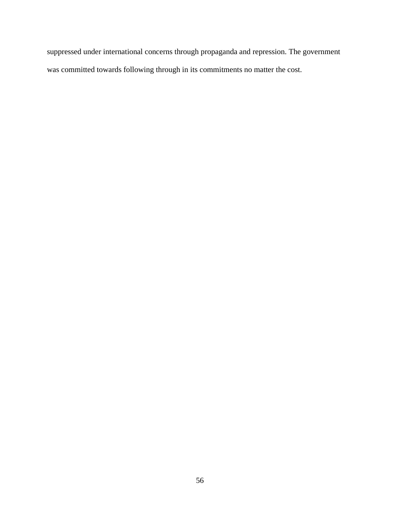suppressed under international concerns through propaganda and repression. The government was committed towards following through in its commitments no matter the cost.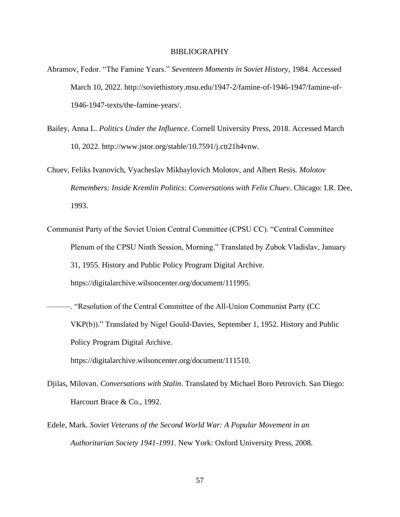#### BIBLIOGRAPHY

- <span id="page-57-0"></span>Abramov, Fedor. "The Famine Years." *Seventeen Moments in Soviet History*, 1984. Accessed March 10, 2022. http://soviethistory.msu.edu/1947-2/famine-of-1946-1947/famine-of-1946-1947-texts/the-famine-years/.
- Bailey, Anna L. *Politics Under the Influence*. Cornell University Press, 2018. Accessed March 10, 2022. http://www.jstor.org/stable/10.7591/j.ctt21h4vnw.
- Chuev, Feliks Ivanovich, Vyacheslav Mikhaylovich Molotov, and Albert Resis. *Molotov Remembers: Inside Kremlin Politics: Conversations with Felix Chuev*. Chicago: I.R. Dee, 1993.
- Communist Party of the Soviet Union Central Committee (CPSU CC). "Central Committee Plenum of the CPSU Ninth Session, Morning." Translated by Zubok Vladislav, January 31, 1955. History and Public Policy Program Digital Archive. https://digitalarchive.wilsoncenter.org/document/111995.
- ———. "Resolution of the Central Committee of the All-Union Communist Party (CC VKP(b))." Translated by Nigel Gould-Davies, September 1, 1952. History and Public Policy Program Digital Archive.

https://digitalarchive.wilsoncenter.org/document/111510.

- Djilas, Milovan. *Conversations with Stalin*. Translated by Michael Boro Petrovich. San Diego: Harcourt Brace & Co., 1992.
- Edele, Mark. *Soviet Veterans of the Second World War: A Popular Movement in an Authoritarian Society 1941-1991*. New York: Oxford University Press, 2008.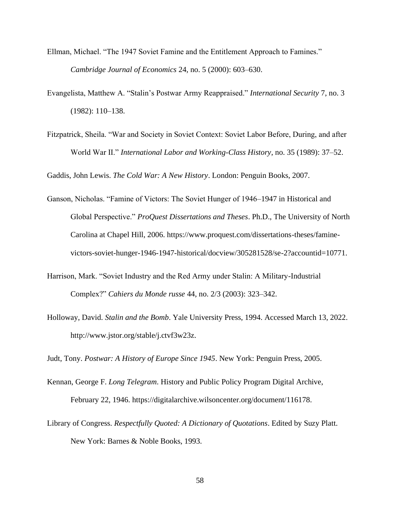- Ellman, Michael. "The 1947 Soviet Famine and the Entitlement Approach to Famines." *Cambridge Journal of Economics* 24, no. 5 (2000): 603–630.
- Evangelista, Matthew A. "Stalin's Postwar Army Reappraised." *International Security* 7, no. 3 (1982): 110–138.
- Fitzpatrick, Sheila. "War and Society in Soviet Context: Soviet Labor Before, During, and after World War II." *International Labor and Working-Class History*, no. 35 (1989): 37–52.

Gaddis, John Lewis. *The Cold War: A New History*. London: Penguin Books, 2007.

- Ganson, Nicholas. "Famine of Victors: The Soviet Hunger of 1946–1947 in Historical and Global Perspective." *ProQuest Dissertations and Theses*. Ph.D., The University of North Carolina at Chapel Hill, 2006. https://www.proquest.com/dissertations-theses/faminevictors-soviet-hunger-1946-1947-historical/docview/305281528/se-2?accountid=10771.
- Harrison, Mark. "Soviet Industry and the Red Army under Stalin: A Military-Industrial Complex?" *Cahiers du Monde russe* 44, no. 2/3 (2003): 323–342.
- Holloway, David. *Stalin and the Bomb*. Yale University Press, 1994. Accessed March 13, 2022. http://www.jstor.org/stable/j.ctvf3w23z.

Judt, Tony. *Postwar: A History of Europe Since 1945*. New York: Penguin Press, 2005.

- Kennan, George F. *Long Telegram*. History and Public Policy Program Digital Archive, February 22, 1946. https://digitalarchive.wilsoncenter.org/document/116178.
- Library of Congress. *Respectfully Quoted: A Dictionary of Quotations*. Edited by Suzy Platt. New York: Barnes & Noble Books, 1993.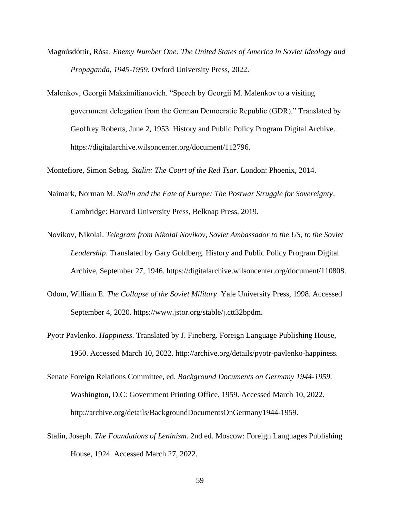- Magnúsdóttir, Rósa. *Enemy Number One: The United States of America in Soviet Ideology and Propaganda, 1945-1959.* Oxford University Press, 2022.
- Malenkov, Georgii Maksimilianovich. "Speech by Georgii M. Malenkov to a visiting government delegation from the German Democratic Republic (GDR)." Translated by Geoffrey Roberts, June 2, 1953. History and Public Policy Program Digital Archive. https://digitalarchive.wilsoncenter.org/document/112796.

Montefiore, Simon Sebag. *Stalin: The Court of the Red Tsar*. London: Phoenix, 2014.

- Naimark, Norman M. *Stalin and the Fate of Europe: The Postwar Struggle for Sovereignty*. Cambridge: Harvard University Press, Belknap Press, 2019.
- Novikov, Nikolai. *Telegram from Nikolai Novikov, Soviet Ambassador to the US, to the Soviet Leadership*. Translated by Gary Goldberg. History and Public Policy Program Digital Archive, September 27, 1946. https://digitalarchive.wilsoncenter.org/document/110808.
- Odom, William E. *The Collapse of the Soviet Military*. Yale University Press, 1998. Accessed September 4, 2020. https://www.jstor.org/stable/j.ctt32bpdm.
- Pyotr Pavlenko. *Happiness*. Translated by J. Fineberg. Foreign Language Publishing House, 1950. Accessed March 10, 2022. http://archive.org/details/pyotr-pavlenko-happiness.
- Senate Foreign Relations Committee, ed. *Background Documents on Germany 1944-1959*. Washington, D.C: Government Printing Office, 1959. Accessed March 10, 2022. http://archive.org/details/BackgroundDocumentsOnGermany1944-1959.
- Stalin, Joseph. *The Foundations of Leninism*. 2nd ed. Moscow: Foreign Languages Publishing House, 1924. Accessed March 27, 2022.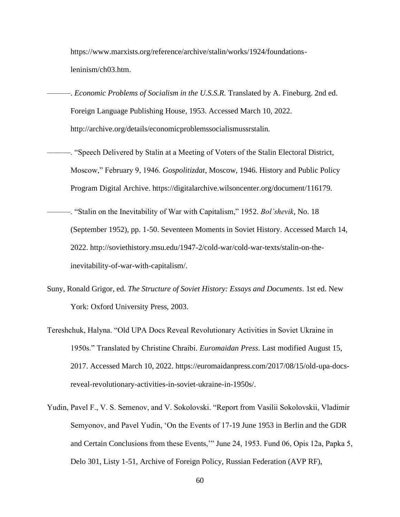https://www.marxists.org/reference/archive/stalin/works/1924/foundationsleninism/ch03.htm.

-. *Economic Problems of Socialism in the U.S.S.R.* Translated by A. Fineburg. 2nd ed. Foreign Language Publishing House, 1953. Accessed March 10, 2022. http://archive.org/details/economicproblemssocialismussrstalin.

- ———. "Speech Delivered by Stalin at a Meeting of Voters of the Stalin Electoral District, Moscow," February 9, 1946. *Gospolitizdat*, Moscow, 1946. History and Public Policy Program Digital Archive. https://digitalarchive.wilsoncenter.org/document/116179.
- ———. "Stalin on the Inevitability of War with Capitalism," 1952. *Bol'shevik*, No. 18 (September 1952), pp. 1-50. Seventeen Moments in Soviet History. Accessed March 14, 2022. http://soviethistory.msu.edu/1947-2/cold-war/cold-war-texts/stalin-on-theinevitability-of-war-with-capitalism/.
- Suny, Ronald Grigor, ed. *The Structure of Soviet History: Essays and Documents*. 1st ed. New York: Oxford University Press, 2003.
- Tereshchuk, Halyna. "Old UPA Docs Reveal Revolutionary Activities in Soviet Ukraine in 1950s." Translated by Christine Chraibi. *Euromaidan Press*. Last modified August 15, 2017. Accessed March 10, 2022. https://euromaidanpress.com/2017/08/15/old-upa-docsreveal-revolutionary-activities-in-soviet-ukraine-in-1950s/.
- Yudin, Pavel F., V. S. Semenov, and V. Sokolovski. "Report from Vasilii Sokolovskii, Vladimir Semyonov, and Pavel Yudin, 'On the Events of 17-19 June 1953 in Berlin and the GDR and Certain Conclusions from these Events,'" June 24, 1953. Fund 06, Opis 12a, Papka 5, Delo 301, Listy 1-51, Archive of Foreign Policy, Russian Federation (AVP RF),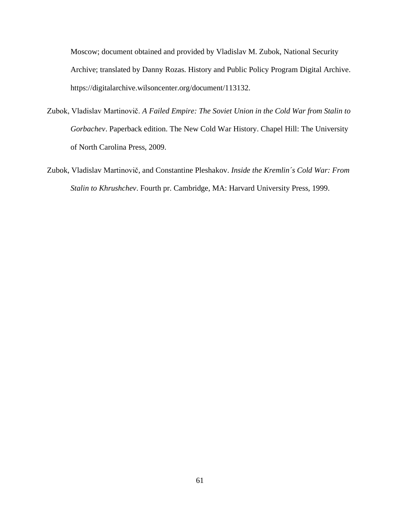Moscow; document obtained and provided by Vladislav M. Zubok, National Security Archive; translated by Danny Rozas. History and Public Policy Program Digital Archive. https://digitalarchive.wilsoncenter.org/document/113132.

- Zubok, Vladislav Martinovič. *A Failed Empire: The Soviet Union in the Cold War from Stalin to Gorbachev*. Paperback edition. The New Cold War History. Chapel Hill: The University of North Carolina Press, 2009.
- Zubok, Vladislav Martinovič, and Constantine Pleshakov. *Inside the Kremlin´s Cold War: From Stalin to Khrushchev*. Fourth pr. Cambridge, MA: Harvard University Press, 1999.